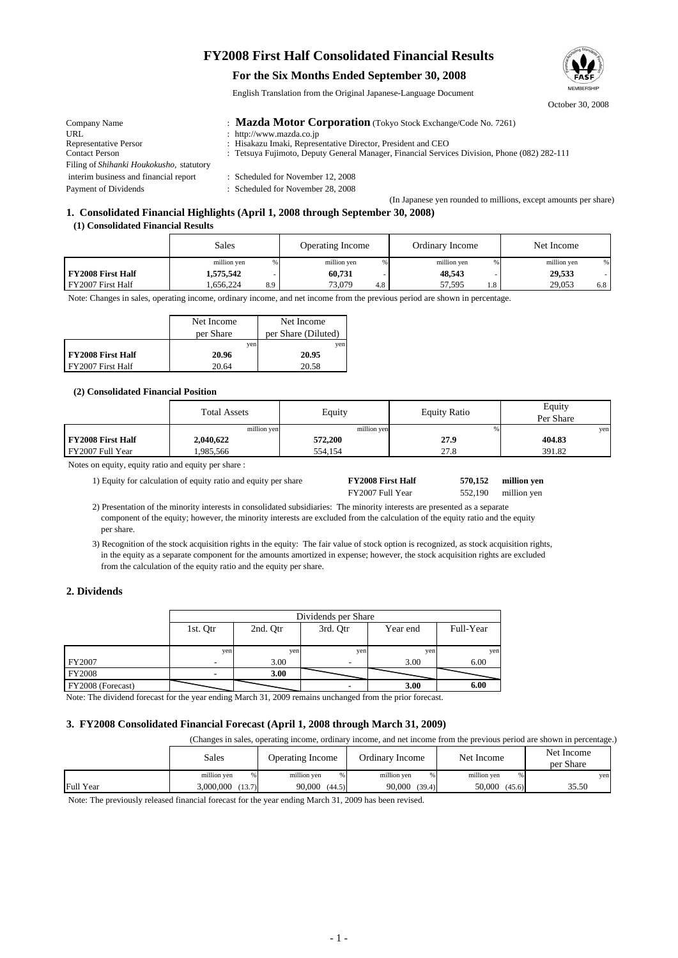# **FY2008 First Half Consolidated Financial Results**

### **For the Six Months Ended September 30, 2008**

English Translation from the Original Japanese-Language Document

| Company Name                                     | : Mazda Motor Corporation (Tokyo Stock Exchange/Code No. 7261)                               |
|--------------------------------------------------|----------------------------------------------------------------------------------------------|
| <b>URL</b>                                       | : http://www.mazda.co.jp                                                                     |
| Representative Person                            | : Hisakazu Imaki, Representative Director, President and CEO                                 |
| <b>Contact Person</b>                            | : Tetsuya Fujimoto, Deputy General Manager, Financial Services Division, Phone (082) 282-111 |
| Filing of <i>Shihanki Houkokusho</i> , statutory |                                                                                              |
| interim business and financial report            | : Scheduled for November 12, 2008                                                            |
| Payment of Dividends                             | : Scheduled for November 28, 2008                                                            |

### (In Japanese yen rounded to millions, except amounts per share) **1. Consolidated Financial Highlights (April 1, 2008 through September 30, 2008)**

 **(1) Consolidated Financial Results**

|                          | Sales            | <b>Operating Income</b> | Ordinary Income | Net Income        |
|--------------------------|------------------|-------------------------|-----------------|-------------------|
|                          | million yen<br>% | million yen<br>%        | million yen     | million yen<br>%1 |
| <b>FY2008 First Half</b> | 1,575,542        | 60,731                  | 48,543          | 29,533            |
| FY2007 First Half        | .656.224<br>8.9  | 73,079<br>4.8           | 57,595<br>1.8   | 29,053<br>6.8     |

Note: Changes in sales, operating income, ordinary income, and net income from the previous period are shown in percentage.

|                          | Net Income | Net Income          |
|--------------------------|------------|---------------------|
|                          | per Share  | per Share (Diluted) |
|                          | ven        | ven                 |
| <b>FY2008 First Half</b> | 20.96      | 20.95               |
| FY2007 First Half        | 20.64      | 20.58               |

### **(2) Consolidated Financial Position**

|                          | <b>Total Assets</b> | Equity      | <b>Equity Ratio</b> | Equity<br>Per Share |
|--------------------------|---------------------|-------------|---------------------|---------------------|
|                          | million yen         | million yen |                     | yen                 |
| <b>FY2008 First Half</b> | 2,040,622           | 572,200     | 27.9                | 404.83              |
| FY2007 Full Year         | .985.566            | 554.154     | 27.8                | 391.82              |

Notes on equity, equity ratio and equity per share :

1) Equity for calculation of equity ratio and equity per share **FY2008 First Half 570,152**

|                                                                                                                  | FY2007 Full Year | 552,190 million yen |
|------------------------------------------------------------------------------------------------------------------|------------------|---------------------|
| den er als natuendas turinosis tu espectidored actes distingues (The natuendas turinosis en nome sur des secondo |                  |                     |

 2) Presentation of the minority interests in consolidated subsidiaries: The minority interests are presented as a separate component of the equity; however, the minority interests are excluded from the calculation of the equity ratio and the equity per share.

 3) Recognition of the stock acquisition rights in the equity: The fair value of stock option is recognized, as stock acquisition rights, in the equity as a separate component for the amounts amortized in expense; however, the stock acquisition rights are excluded from the calculation of the equity ratio and the equity per share.

### **2. Dividends**

|                   | Dividends per Share |          |          |          |           |
|-------------------|---------------------|----------|----------|----------|-----------|
|                   | 1st. Otr            | 2nd. Qtr | 3rd. Qtr | Year end | Full-Year |
|                   |                     |          |          |          |           |
|                   | yen                 | yen      | yen      | yen      | yen       |
| FY2007            |                     | 3.00     |          | 3.00     | 6.00      |
| <b>FY2008</b>     |                     | 3.00     |          |          |           |
| FY2008 (Forecast) |                     |          |          | 3.00     | 6.00      |

Note: The dividend forecast for the year ending March 31, 2009 remains unchanged from the prior forecast.

#### **3. FY2008 Consolidated Financial Forecast (April 1, 2008 through March 31, 2009)**

(Changes in sales, operating income, ordinary income, and net income from the previous period are shown in percentage.)

|           | Sales               | <b>Operating Income</b> | Ordinary Income  | Net Income        | Net Income<br>per Share |
|-----------|---------------------|-------------------------|------------------|-------------------|-------------------------|
|           | million yen         | million yen<br>%        | million yen<br>% | million yen<br>%. | yen                     |
| Full Year | 3,000,000<br>(13.7) | 90.000<br>(44.5)        | 90,000<br>(39.4) | 50,000<br>(45.6)  | 35.50                   |
|           |                     |                         |                  |                   |                         |

Note: The previously released financial forecast for the year ending March 31, 2009 has been revised.



October 30, 2008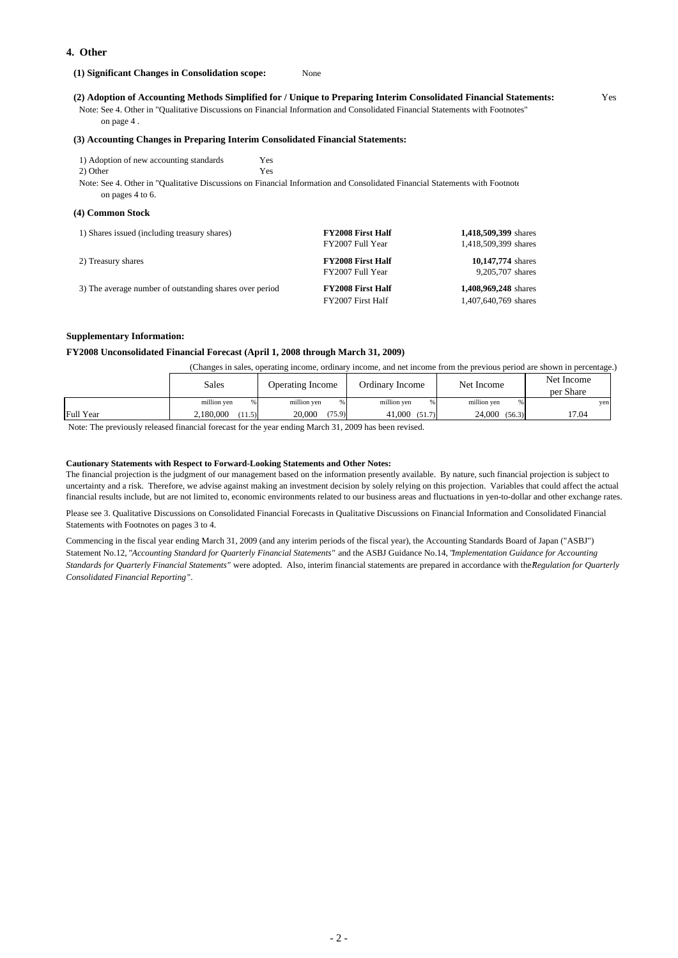### **4. Other**

 **(1) Significant Changes in Consolidation scope:** None

 **(2) Adoption of Accounting Methods Simplified for / Unique to Preparing Interim Consolidated Financial Statements:** Yes

 Note: See 4. Other in "Qualitative Discussions on Financial Information and Consolidated Financial Statements with Footnotes" on page 4 .

#### **(3) Accounting Changes in Preparing Interim Consolidated Financial Statements:**

| 1) Adoption of new accounting standards | Yes |
|-----------------------------------------|-----|
| 2) Other                                | Yes |

 Note: See 4. Other in "Qualitative Discussions on Financial Information and Consolidated Financial Statements with Footnote on pages 4 to 6.

#### **(4) Common Stock**

| 1) Shares issued (including treasury shares)            | <b>FY2008 First Half</b><br>FY2007 Full Year  | 1,418,509,399 shares<br>1,418,509,399 shares |
|---------------------------------------------------------|-----------------------------------------------|----------------------------------------------|
| 2) Treasury shares                                      | <b>FY2008 First Half</b><br>FY2007 Full Year  | 10,147,774 shares<br>9,205,707 shares        |
| 3) The average number of outstanding shares over period | <b>FY2008 First Half</b><br>FY2007 First Half | 1,408,969,248 shares<br>1,407,640,769 shares |

#### **Supplementary Information:**

#### **FY2008 Unconsolidated Financial Forecast (April 1, 2008 through March 31, 2009)**

(Changes in sales, operating income, ordinary income, and net income from the previous period are shown in percentage.)

| million yen<br>million yen<br>million yen<br>million yen<br>%.                                        | yen |
|-------------------------------------------------------------------------------------------------------|-----|
| Full Year<br>(75.9)<br>24,000<br>17.04<br>20,000<br>41.000<br>2.180,000<br>(56.3)<br>(11.5)<br>(51.7) |     |

Note: The previously released financial forecast for the year ending March 31, 2009 has been revised.

#### **Cautionary Statements with Respect to Forward-Looking Statements and Other Notes:**

The financial projection is the judgment of our management based on the information presently available. By nature, such financial projection is subject to uncertainty and a risk. Therefore, we advise against making an investment decision by solely relying on this projection. Variables that could affect the actual financial results include, but are not limited to, economic environments related to our business areas and fluctuations in yen-to-dollar and other exchange rates.

Please see 3. Qualitative Discussions on Consolidated Financial Forecasts in Qualitative Discussions on Financial Information and Consolidated Financial Statements with Footnotes on pages 3 to 4.

Commencing in the fiscal year ending March 31, 2009 (and any interim periods of the fiscal year), the Accounting Standards Board of Japan ("ASBJ") Statement No.12, *"Accounting Standard for Quarterly Financial Statements"* and the ASBJ Guidance No.14, "*Implementation Guidance for Accounting Standards for Quarterly Financial Statements"* were adopted. Also, interim financial statements are prepared in accordance with the "*Regulation for Quarterly Consolidated Financial Reporting*".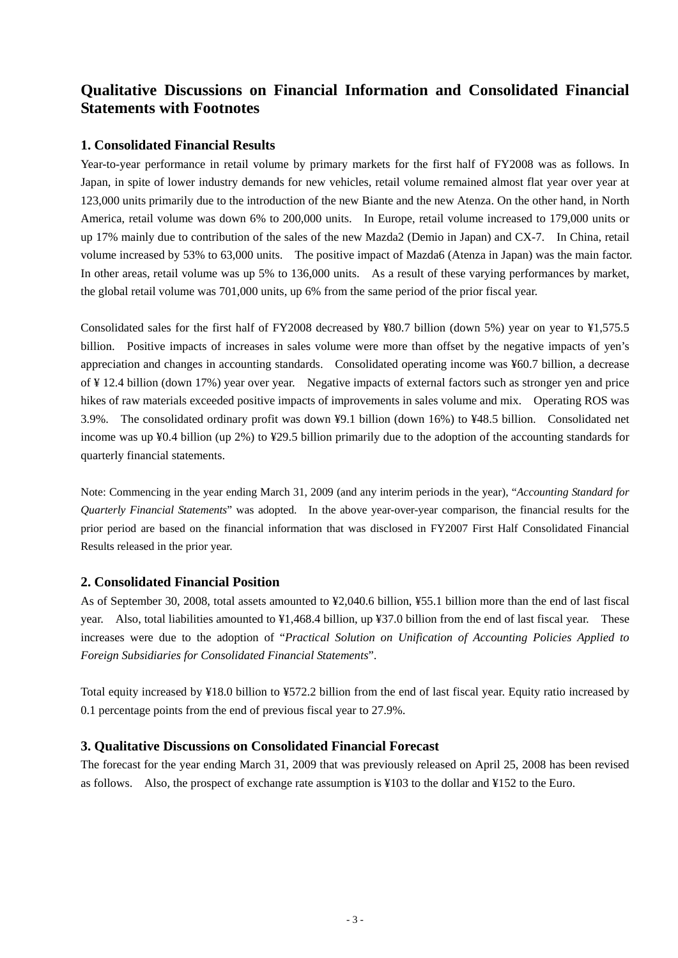# **Qualitative Discussions on Financial Information and Consolidated Financial Statements with Footnotes**

## **1. Consolidated Financial Results**

Year-to-year performance in retail volume by primary markets for the first half of FY2008 was as follows. In Japan, in spite of lower industry demands for new vehicles, retail volume remained almost flat year over year at 123,000 units primarily due to the introduction of the new Biante and the new Atenza. On the other hand, in North America, retail volume was down 6% to 200,000 units. In Europe, retail volume increased to 179,000 units or up 17% mainly due to contribution of the sales of the new Mazda2 (Demio in Japan) and CX-7. In China, retail volume increased by 53% to 63,000 units. The positive impact of Mazda6 (Atenza in Japan) was the main factor. In other areas, retail volume was up 5% to 136,000 units. As a result of these varying performances by market, the global retail volume was 701,000 units, up 6% from the same period of the prior fiscal year.

Consolidated sales for the first half of FY2008 decreased by ¥80.7 billion (down 5%) year on year to ¥1,575.5 billion. Positive impacts of increases in sales volume were more than offset by the negative impacts of yen's appreciation and changes in accounting standards. Consolidated operating income was ¥60.7 billion, a decrease of ¥ 12.4 billion (down 17%) year over year. Negative impacts of external factors such as stronger yen and price hikes of raw materials exceeded positive impacts of improvements in sales volume and mix. Operating ROS was 3.9%. The consolidated ordinary profit was down ¥9.1 billion (down 16%) to ¥48.5 billion. Consolidated net income was up ¥0.4 billion (up 2%) to ¥29.5 billion primarily due to the adoption of the accounting standards for quarterly financial statements.

Note: Commencing in the year ending March 31, 2009 (and any interim periods in the year), "*Accounting Standard for Quarterly Financial Statements*" was adopted. In the above year-over-year comparison, the financial results for the prior period are based on the financial information that was disclosed in FY2007 First Half Consolidated Financial Results released in the prior year.

### **2. Consolidated Financial Position**

As of September 30, 2008, total assets amounted to ¥2,040.6 billion, ¥55.1 billion more than the end of last fiscal year. Also, total liabilities amounted to ¥1,468.4 billion, up ¥37.0 billion from the end of last fiscal year. These increases were due to the adoption of "*Practical Solution on Unification of Accounting Policies Applied to Foreign Subsidiaries for Consolidated Financial Statements*".

Total equity increased by ¥18.0 billion to ¥572.2 billion from the end of last fiscal year. Equity ratio increased by 0.1 percentage points from the end of previous fiscal year to 27.9%.

## **3. Qualitative Discussions on Consolidated Financial Forecast**

The forecast for the year ending March 31, 2009 that was previously released on April 25, 2008 has been revised as follows. Also, the prospect of exchange rate assumption is ¥103 to the dollar and ¥152 to the Euro.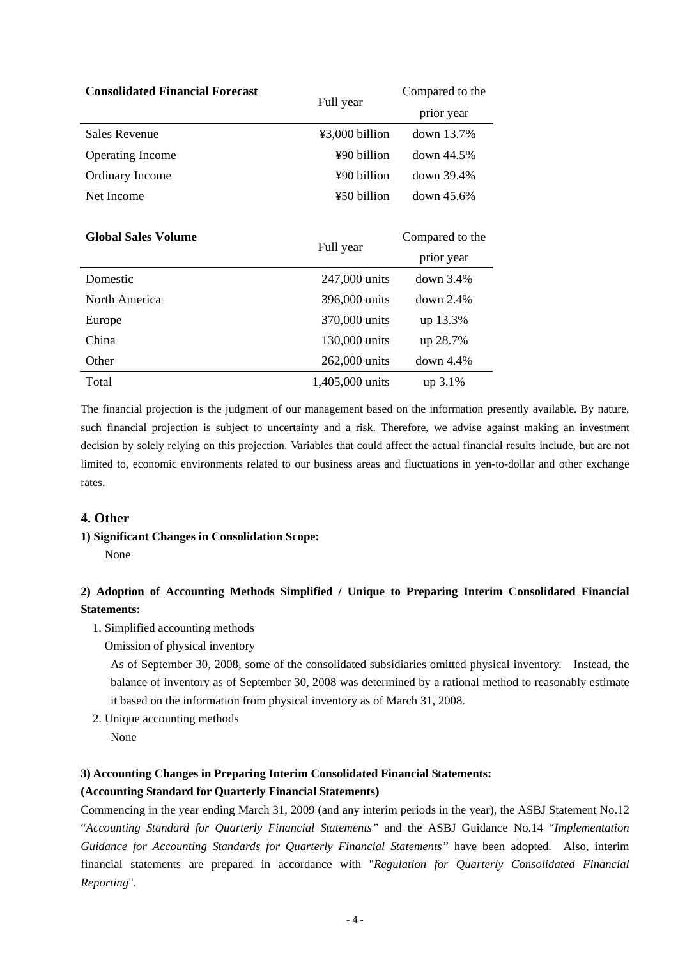| <b>Consolidated Financial Forecast</b> |                 | Compared to the |
|----------------------------------------|-----------------|-----------------|
|                                        | Full year       | prior year      |
| <b>Sales Revenue</b>                   | ¥3,000 billion  | down 13.7%      |
| <b>Operating Income</b>                | ¥90 billion     | down 44.5%      |
| Ordinary Income                        | ¥90 billion     | down 39.4%      |
| Net Income                             | ¥50 billion     | $down~45.6\%$   |
|                                        |                 |                 |
| <b>Global Sales Volume</b>             | Full year       | Compared to the |
|                                        |                 | prior year      |
| Domestic                               | 247,000 units   | down $3.4\%$    |
| North America                          | 396,000 units   | $down$ 2.4%     |
| Europe                                 | 370,000 units   | up 13.3%        |
| China                                  | 130,000 units   | up 28.7%        |
| Other                                  | 262,000 units   | down $4.4\%$    |
| Total                                  | 1,405,000 units | $up\ 3.1\%$     |

The financial projection is the judgment of our management based on the information presently available. By nature, such financial projection is subject to uncertainty and a risk. Therefore, we advise against making an investment decision by solely relying on this projection. Variables that could affect the actual financial results include, but are not limited to, economic environments related to our business areas and fluctuations in yen-to-dollar and other exchange rates.

## **4. Other**

### **1) Significant Changes in Consolidation Scope:**

None

## **2) Adoption of Accounting Methods Simplified / Unique to Preparing Interim Consolidated Financial Statements:**

- 1. Simplified accounting methods
	- Omission of physical inventory

 As of September 30, 2008, some of the consolidated subsidiaries omitted physical inventory. Instead, the balance of inventory as of September 30, 2008 was determined by a rational method to reasonably estimate it based on the information from physical inventory as of March 31, 2008.

- 2. Unique accounting methods
	- None

## **3) Accounting Changes in Preparing Interim Consolidated Financial Statements:**

## **(Accounting Standard for Quarterly Financial Statements)**

Commencing in the year ending March 31, 2009 (and any interim periods in the year), the ASBJ Statement No.12 "*Accounting Standard for Quarterly Financial Statements"* and the ASBJ Guidance No.14 "*Implementation Guidance for Accounting Standards for Quarterly Financial Statements"* have been adopted. Also, interim financial statements are prepared in accordance with "*Regulation for Quarterly Consolidated Financial Reporting*".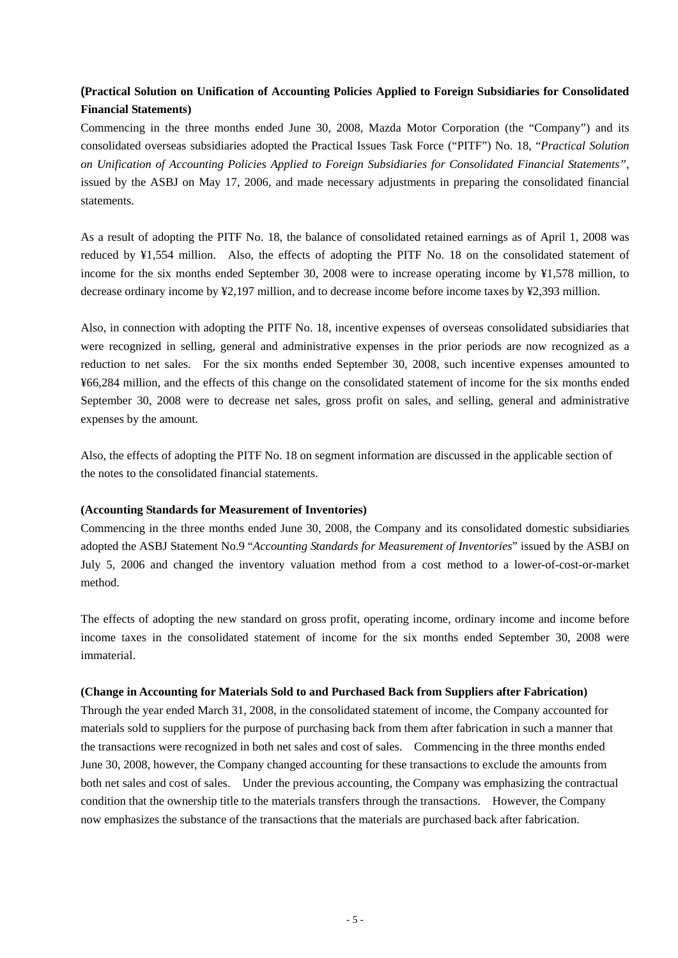## **(Practical Solution on Unification of Accounting Policies Applied to Foreign Subsidiaries for Consolidated Financial Statements)**

Commencing in the three months ended June 30, 2008, Mazda Motor Corporation (the "Company") and its consolidated overseas subsidiaries adopted the Practical Issues Task Force ("PITF") No. 18, "*Practical Solution on Unification of Accounting Policies Applied to Foreign Subsidiaries for Consolidated Financial Statements",* issued by the ASBJ on May 17, 2006, and made necessary adjustments in preparing the consolidated financial statements.

As a result of adopting the PITF No. 18, the balance of consolidated retained earnings as of April 1, 2008 was reduced by ¥1,554 million. Also, the effects of adopting the PITF No. 18 on the consolidated statement of income for the six months ended September 30, 2008 were to increase operating income by ¥1,578 million, to decrease ordinary income by ¥2,197 million, and to decrease income before income taxes by ¥2,393 million.

Also, in connection with adopting the PITF No. 18, incentive expenses of overseas consolidated subsidiaries that were recognized in selling, general and administrative expenses in the prior periods are now recognized as a reduction to net sales. For the six months ended September 30, 2008, such incentive expenses amounted to ¥66,284 million, and the effects of this change on the consolidated statement of income for the six months ended September 30, 2008 were to decrease net sales, gross profit on sales, and selling, general and administrative expenses by the amount.

Also, the effects of adopting the PITF No. 18 on segment information are discussed in the applicable section of the notes to the consolidated financial statements.

### **(Accounting Standards for Measurement of Inventories)**

Commencing in the three months ended June 30, 2008, the Company and its consolidated domestic subsidiaries adopted the ASBJ Statement No.9 "*Accounting Standards for Measurement of Inventories*" issued by the ASBJ on July 5, 2006 and changed the inventory valuation method from a cost method to a lower-of-cost-or-market method.

The effects of adopting the new standard on gross profit, operating income, ordinary income and income before income taxes in the consolidated statement of income for the six months ended September 30, 2008 were immaterial.

### **(Change in Accounting for Materials Sold to and Purchased Back from Suppliers after Fabrication)**

Through the year ended March 31, 2008, in the consolidated statement of income, the Company accounted for materials sold to suppliers for the purpose of purchasing back from them after fabrication in such a manner that the transactions were recognized in both net sales and cost of sales. Commencing in the three months ended June 30, 2008, however, the Company changed accounting for these transactions to exclude the amounts from both net sales and cost of sales. Under the previous accounting, the Company was emphasizing the contractual condition that the ownership title to the materials transfers through the transactions. However, the Company now emphasizes the substance of the transactions that the materials are purchased back after fabrication.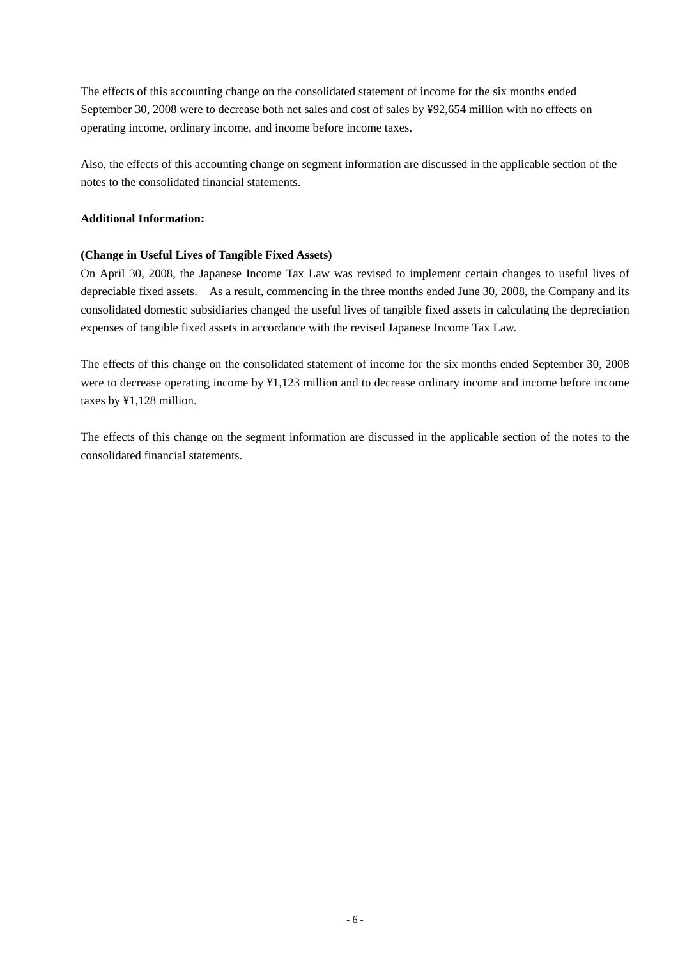The effects of this accounting change on the consolidated statement of income for the six months ended September 30, 2008 were to decrease both net sales and cost of sales by ¥92,654 million with no effects on operating income, ordinary income, and income before income taxes.

Also, the effects of this accounting change on segment information are discussed in the applicable section of the notes to the consolidated financial statements.

## **Additional Information:**

## **(Change in Useful Lives of Tangible Fixed Assets)**

On April 30, 2008, the Japanese Income Tax Law was revised to implement certain changes to useful lives of depreciable fixed assets. As a result, commencing in the three months ended June 30, 2008, the Company and its consolidated domestic subsidiaries changed the useful lives of tangible fixed assets in calculating the depreciation expenses of tangible fixed assets in accordance with the revised Japanese Income Tax Law.

The effects of this change on the consolidated statement of income for the six months ended September 30, 2008 were to decrease operating income by ¥1,123 million and to decrease ordinary income and income before income taxes by ¥1,128 million.

The effects of this change on the segment information are discussed in the applicable section of the notes to the consolidated financial statements.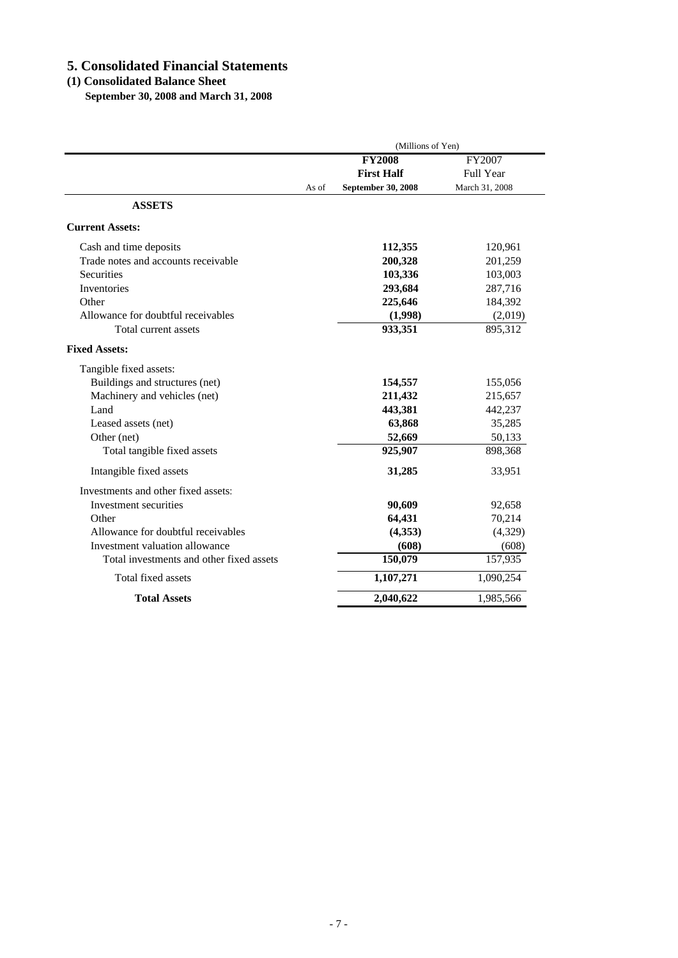# **5. Consolidated Financial Statements**

## **(1) Consolidated Balance Sheet**

 **September 30, 2008 and March 31, 2008**

|                                          | (Millions of Yen) |                           |                  |
|------------------------------------------|-------------------|---------------------------|------------------|
|                                          |                   | <b>FY2008</b>             | FY2007           |
|                                          |                   | <b>First Half</b>         | <b>Full Year</b> |
|                                          | As of             | <b>September 30, 2008</b> | March 31, 2008   |
| <b>ASSETS</b>                            |                   |                           |                  |
| <b>Current Assets:</b>                   |                   |                           |                  |
| Cash and time deposits                   |                   | 112,355                   | 120,961          |
| Trade notes and accounts receivable      |                   | 200,328                   | 201,259          |
| Securities                               |                   | 103,336                   | 103,003          |
| <b>Inventories</b>                       |                   | 293,684                   | 287,716          |
| Other                                    |                   | 225,646                   | 184,392          |
| Allowance for doubtful receivables       |                   | (1,998)                   | (2,019)          |
| Total current assets                     |                   | 933,351                   | 895,312          |
| <b>Fixed Assets:</b>                     |                   |                           |                  |
| Tangible fixed assets:                   |                   |                           |                  |
| Buildings and structures (net)           |                   | 154,557                   | 155,056          |
| Machinery and vehicles (net)             |                   | 211,432                   | 215,657          |
| Land                                     |                   | 443,381                   | 442,237          |
| Leased assets (net)                      |                   | 63,868                    | 35,285           |
| Other (net)                              |                   | 52,669                    | 50,133           |
| Total tangible fixed assets              |                   | 925,907                   | 898,368          |
| Intangible fixed assets                  |                   | 31,285                    | 33,951           |
| Investments and other fixed assets:      |                   |                           |                  |
| Investment securities                    |                   | 90,609                    | 92,658           |
| Other                                    |                   | 64,431                    | 70,214           |
| Allowance for doubtful receivables       |                   | (4,353)                   | (4,329)          |
| Investment valuation allowance           |                   | (608)                     | (608)            |
| Total investments and other fixed assets |                   | 150,079                   | 157,935          |
| Total fixed assets                       |                   | 1,107,271                 | 1,090,254        |
| <b>Total Assets</b>                      |                   | 2,040,622                 | 1,985,566        |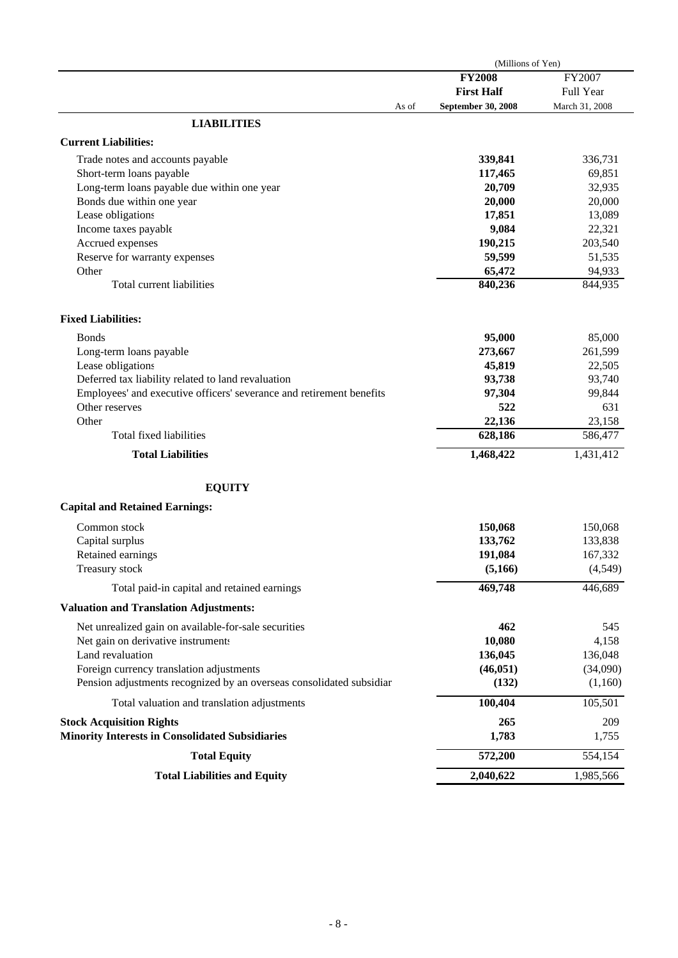| <b>FY2008</b><br>FY2007<br><b>First Half</b><br>Full Year<br>March 31, 2008<br><b>September 30, 2008</b><br>As of<br><b>LIABILITIES</b><br><b>Current Liabilities:</b><br>339,841<br>336,731<br>Trade notes and accounts payable<br>Short-term loans payable<br>117,465<br>69,851<br>Long-term loans payable due within one year<br>20,709<br>32,935<br>Bonds due within one year<br>20,000<br>20,000<br>Lease obligations<br>17,851<br>13,089<br>9,084<br>22,321<br>Income taxes payable<br>Accrued expenses<br>190,215<br>203,540<br>Reserve for warranty expenses<br>59,599<br>51,535<br>Other<br>65,472<br>94,933<br>840,236<br>844,935<br>Total current liabilities<br><b>Fixed Liabilities:</b><br>95,000<br>85,000<br><b>Bonds</b><br>Long-term loans payable<br>273,667<br>261,599<br>Lease obligations<br>45,819<br>22,505<br>Deferred tax liability related to land revaluation<br>93,738<br>93,740<br>Employees' and executive officers' severance and retirement benefits<br>97,304<br>99,844<br>Other reserves<br>522<br>631<br>Other<br>22,136<br>23,158<br>628,186<br>Total fixed liabilities<br>586,477<br><b>Total Liabilities</b><br>1,468,422<br>1,431,412<br><b>EQUITY</b><br><b>Capital and Retained Earnings:</b><br>Common stock<br>150,068<br>150,068<br>Capital surplus<br>133,762<br>133,838<br>Retained earnings<br>191,084<br>167,332<br>Treasury stock<br>(5,166)<br>(4,549)<br>469,748<br>446,689<br>Total paid-in capital and retained earnings<br><b>Valuation and Translation Adjustments:</b><br>Net unrealized gain on available-for-sale securities<br>462<br>545<br>Net gain on derivative instruments<br>10,080<br>4,158<br>Land revaluation<br>136,045<br>136,048<br>Foreign currency translation adjustments<br>(46, 051)<br>(34,090)<br>Pension adjustments recognized by an overseas consolidated subsidiar<br>(132)<br>(1,160)<br>105,501<br>100,404<br>Total valuation and translation adjustments<br>265<br>209<br><b>Stock Acquisition Rights</b><br><b>Minority Interests in Consolidated Subsidiaries</b><br>1,783<br>1,755<br>572,200<br>554,154<br><b>Total Equity</b><br>2,040,622<br>1,985,566<br><b>Total Liabilities and Equity</b> | (Millions of Yen) |  |
|-------------------------------------------------------------------------------------------------------------------------------------------------------------------------------------------------------------------------------------------------------------------------------------------------------------------------------------------------------------------------------------------------------------------------------------------------------------------------------------------------------------------------------------------------------------------------------------------------------------------------------------------------------------------------------------------------------------------------------------------------------------------------------------------------------------------------------------------------------------------------------------------------------------------------------------------------------------------------------------------------------------------------------------------------------------------------------------------------------------------------------------------------------------------------------------------------------------------------------------------------------------------------------------------------------------------------------------------------------------------------------------------------------------------------------------------------------------------------------------------------------------------------------------------------------------------------------------------------------------------------------------------------------------------------------------------------------------------------------------------------------------------------------------------------------------------------------------------------------------------------------------------------------------------------------------------------------------------------------------------------------------------------------------------------------------------------------------------------------------------------------------------------------------------------------------------|-------------------|--|
|                                                                                                                                                                                                                                                                                                                                                                                                                                                                                                                                                                                                                                                                                                                                                                                                                                                                                                                                                                                                                                                                                                                                                                                                                                                                                                                                                                                                                                                                                                                                                                                                                                                                                                                                                                                                                                                                                                                                                                                                                                                                                                                                                                                           |                   |  |
|                                                                                                                                                                                                                                                                                                                                                                                                                                                                                                                                                                                                                                                                                                                                                                                                                                                                                                                                                                                                                                                                                                                                                                                                                                                                                                                                                                                                                                                                                                                                                                                                                                                                                                                                                                                                                                                                                                                                                                                                                                                                                                                                                                                           |                   |  |
|                                                                                                                                                                                                                                                                                                                                                                                                                                                                                                                                                                                                                                                                                                                                                                                                                                                                                                                                                                                                                                                                                                                                                                                                                                                                                                                                                                                                                                                                                                                                                                                                                                                                                                                                                                                                                                                                                                                                                                                                                                                                                                                                                                                           |                   |  |
|                                                                                                                                                                                                                                                                                                                                                                                                                                                                                                                                                                                                                                                                                                                                                                                                                                                                                                                                                                                                                                                                                                                                                                                                                                                                                                                                                                                                                                                                                                                                                                                                                                                                                                                                                                                                                                                                                                                                                                                                                                                                                                                                                                                           |                   |  |
|                                                                                                                                                                                                                                                                                                                                                                                                                                                                                                                                                                                                                                                                                                                                                                                                                                                                                                                                                                                                                                                                                                                                                                                                                                                                                                                                                                                                                                                                                                                                                                                                                                                                                                                                                                                                                                                                                                                                                                                                                                                                                                                                                                                           |                   |  |
|                                                                                                                                                                                                                                                                                                                                                                                                                                                                                                                                                                                                                                                                                                                                                                                                                                                                                                                                                                                                                                                                                                                                                                                                                                                                                                                                                                                                                                                                                                                                                                                                                                                                                                                                                                                                                                                                                                                                                                                                                                                                                                                                                                                           |                   |  |
|                                                                                                                                                                                                                                                                                                                                                                                                                                                                                                                                                                                                                                                                                                                                                                                                                                                                                                                                                                                                                                                                                                                                                                                                                                                                                                                                                                                                                                                                                                                                                                                                                                                                                                                                                                                                                                                                                                                                                                                                                                                                                                                                                                                           |                   |  |
|                                                                                                                                                                                                                                                                                                                                                                                                                                                                                                                                                                                                                                                                                                                                                                                                                                                                                                                                                                                                                                                                                                                                                                                                                                                                                                                                                                                                                                                                                                                                                                                                                                                                                                                                                                                                                                                                                                                                                                                                                                                                                                                                                                                           |                   |  |
|                                                                                                                                                                                                                                                                                                                                                                                                                                                                                                                                                                                                                                                                                                                                                                                                                                                                                                                                                                                                                                                                                                                                                                                                                                                                                                                                                                                                                                                                                                                                                                                                                                                                                                                                                                                                                                                                                                                                                                                                                                                                                                                                                                                           |                   |  |
|                                                                                                                                                                                                                                                                                                                                                                                                                                                                                                                                                                                                                                                                                                                                                                                                                                                                                                                                                                                                                                                                                                                                                                                                                                                                                                                                                                                                                                                                                                                                                                                                                                                                                                                                                                                                                                                                                                                                                                                                                                                                                                                                                                                           |                   |  |
|                                                                                                                                                                                                                                                                                                                                                                                                                                                                                                                                                                                                                                                                                                                                                                                                                                                                                                                                                                                                                                                                                                                                                                                                                                                                                                                                                                                                                                                                                                                                                                                                                                                                                                                                                                                                                                                                                                                                                                                                                                                                                                                                                                                           |                   |  |
|                                                                                                                                                                                                                                                                                                                                                                                                                                                                                                                                                                                                                                                                                                                                                                                                                                                                                                                                                                                                                                                                                                                                                                                                                                                                                                                                                                                                                                                                                                                                                                                                                                                                                                                                                                                                                                                                                                                                                                                                                                                                                                                                                                                           |                   |  |
|                                                                                                                                                                                                                                                                                                                                                                                                                                                                                                                                                                                                                                                                                                                                                                                                                                                                                                                                                                                                                                                                                                                                                                                                                                                                                                                                                                                                                                                                                                                                                                                                                                                                                                                                                                                                                                                                                                                                                                                                                                                                                                                                                                                           |                   |  |
|                                                                                                                                                                                                                                                                                                                                                                                                                                                                                                                                                                                                                                                                                                                                                                                                                                                                                                                                                                                                                                                                                                                                                                                                                                                                                                                                                                                                                                                                                                                                                                                                                                                                                                                                                                                                                                                                                                                                                                                                                                                                                                                                                                                           |                   |  |
|                                                                                                                                                                                                                                                                                                                                                                                                                                                                                                                                                                                                                                                                                                                                                                                                                                                                                                                                                                                                                                                                                                                                                                                                                                                                                                                                                                                                                                                                                                                                                                                                                                                                                                                                                                                                                                                                                                                                                                                                                                                                                                                                                                                           |                   |  |
|                                                                                                                                                                                                                                                                                                                                                                                                                                                                                                                                                                                                                                                                                                                                                                                                                                                                                                                                                                                                                                                                                                                                                                                                                                                                                                                                                                                                                                                                                                                                                                                                                                                                                                                                                                                                                                                                                                                                                                                                                                                                                                                                                                                           |                   |  |
|                                                                                                                                                                                                                                                                                                                                                                                                                                                                                                                                                                                                                                                                                                                                                                                                                                                                                                                                                                                                                                                                                                                                                                                                                                                                                                                                                                                                                                                                                                                                                                                                                                                                                                                                                                                                                                                                                                                                                                                                                                                                                                                                                                                           |                   |  |
|                                                                                                                                                                                                                                                                                                                                                                                                                                                                                                                                                                                                                                                                                                                                                                                                                                                                                                                                                                                                                                                                                                                                                                                                                                                                                                                                                                                                                                                                                                                                                                                                                                                                                                                                                                                                                                                                                                                                                                                                                                                                                                                                                                                           |                   |  |
|                                                                                                                                                                                                                                                                                                                                                                                                                                                                                                                                                                                                                                                                                                                                                                                                                                                                                                                                                                                                                                                                                                                                                                                                                                                                                                                                                                                                                                                                                                                                                                                                                                                                                                                                                                                                                                                                                                                                                                                                                                                                                                                                                                                           |                   |  |
|                                                                                                                                                                                                                                                                                                                                                                                                                                                                                                                                                                                                                                                                                                                                                                                                                                                                                                                                                                                                                                                                                                                                                                                                                                                                                                                                                                                                                                                                                                                                                                                                                                                                                                                                                                                                                                                                                                                                                                                                                                                                                                                                                                                           |                   |  |
|                                                                                                                                                                                                                                                                                                                                                                                                                                                                                                                                                                                                                                                                                                                                                                                                                                                                                                                                                                                                                                                                                                                                                                                                                                                                                                                                                                                                                                                                                                                                                                                                                                                                                                                                                                                                                                                                                                                                                                                                                                                                                                                                                                                           |                   |  |
|                                                                                                                                                                                                                                                                                                                                                                                                                                                                                                                                                                                                                                                                                                                                                                                                                                                                                                                                                                                                                                                                                                                                                                                                                                                                                                                                                                                                                                                                                                                                                                                                                                                                                                                                                                                                                                                                                                                                                                                                                                                                                                                                                                                           |                   |  |
|                                                                                                                                                                                                                                                                                                                                                                                                                                                                                                                                                                                                                                                                                                                                                                                                                                                                                                                                                                                                                                                                                                                                                                                                                                                                                                                                                                                                                                                                                                                                                                                                                                                                                                                                                                                                                                                                                                                                                                                                                                                                                                                                                                                           |                   |  |
|                                                                                                                                                                                                                                                                                                                                                                                                                                                                                                                                                                                                                                                                                                                                                                                                                                                                                                                                                                                                                                                                                                                                                                                                                                                                                                                                                                                                                                                                                                                                                                                                                                                                                                                                                                                                                                                                                                                                                                                                                                                                                                                                                                                           |                   |  |
|                                                                                                                                                                                                                                                                                                                                                                                                                                                                                                                                                                                                                                                                                                                                                                                                                                                                                                                                                                                                                                                                                                                                                                                                                                                                                                                                                                                                                                                                                                                                                                                                                                                                                                                                                                                                                                                                                                                                                                                                                                                                                                                                                                                           |                   |  |
|                                                                                                                                                                                                                                                                                                                                                                                                                                                                                                                                                                                                                                                                                                                                                                                                                                                                                                                                                                                                                                                                                                                                                                                                                                                                                                                                                                                                                                                                                                                                                                                                                                                                                                                                                                                                                                                                                                                                                                                                                                                                                                                                                                                           |                   |  |
|                                                                                                                                                                                                                                                                                                                                                                                                                                                                                                                                                                                                                                                                                                                                                                                                                                                                                                                                                                                                                                                                                                                                                                                                                                                                                                                                                                                                                                                                                                                                                                                                                                                                                                                                                                                                                                                                                                                                                                                                                                                                                                                                                                                           |                   |  |
|                                                                                                                                                                                                                                                                                                                                                                                                                                                                                                                                                                                                                                                                                                                                                                                                                                                                                                                                                                                                                                                                                                                                                                                                                                                                                                                                                                                                                                                                                                                                                                                                                                                                                                                                                                                                                                                                                                                                                                                                                                                                                                                                                                                           |                   |  |
|                                                                                                                                                                                                                                                                                                                                                                                                                                                                                                                                                                                                                                                                                                                                                                                                                                                                                                                                                                                                                                                                                                                                                                                                                                                                                                                                                                                                                                                                                                                                                                                                                                                                                                                                                                                                                                                                                                                                                                                                                                                                                                                                                                                           |                   |  |
|                                                                                                                                                                                                                                                                                                                                                                                                                                                                                                                                                                                                                                                                                                                                                                                                                                                                                                                                                                                                                                                                                                                                                                                                                                                                                                                                                                                                                                                                                                                                                                                                                                                                                                                                                                                                                                                                                                                                                                                                                                                                                                                                                                                           |                   |  |
|                                                                                                                                                                                                                                                                                                                                                                                                                                                                                                                                                                                                                                                                                                                                                                                                                                                                                                                                                                                                                                                                                                                                                                                                                                                                                                                                                                                                                                                                                                                                                                                                                                                                                                                                                                                                                                                                                                                                                                                                                                                                                                                                                                                           |                   |  |
|                                                                                                                                                                                                                                                                                                                                                                                                                                                                                                                                                                                                                                                                                                                                                                                                                                                                                                                                                                                                                                                                                                                                                                                                                                                                                                                                                                                                                                                                                                                                                                                                                                                                                                                                                                                                                                                                                                                                                                                                                                                                                                                                                                                           |                   |  |
|                                                                                                                                                                                                                                                                                                                                                                                                                                                                                                                                                                                                                                                                                                                                                                                                                                                                                                                                                                                                                                                                                                                                                                                                                                                                                                                                                                                                                                                                                                                                                                                                                                                                                                                                                                                                                                                                                                                                                                                                                                                                                                                                                                                           |                   |  |
|                                                                                                                                                                                                                                                                                                                                                                                                                                                                                                                                                                                                                                                                                                                                                                                                                                                                                                                                                                                                                                                                                                                                                                                                                                                                                                                                                                                                                                                                                                                                                                                                                                                                                                                                                                                                                                                                                                                                                                                                                                                                                                                                                                                           |                   |  |
|                                                                                                                                                                                                                                                                                                                                                                                                                                                                                                                                                                                                                                                                                                                                                                                                                                                                                                                                                                                                                                                                                                                                                                                                                                                                                                                                                                                                                                                                                                                                                                                                                                                                                                                                                                                                                                                                                                                                                                                                                                                                                                                                                                                           |                   |  |
|                                                                                                                                                                                                                                                                                                                                                                                                                                                                                                                                                                                                                                                                                                                                                                                                                                                                                                                                                                                                                                                                                                                                                                                                                                                                                                                                                                                                                                                                                                                                                                                                                                                                                                                                                                                                                                                                                                                                                                                                                                                                                                                                                                                           |                   |  |
|                                                                                                                                                                                                                                                                                                                                                                                                                                                                                                                                                                                                                                                                                                                                                                                                                                                                                                                                                                                                                                                                                                                                                                                                                                                                                                                                                                                                                                                                                                                                                                                                                                                                                                                                                                                                                                                                                                                                                                                                                                                                                                                                                                                           |                   |  |
|                                                                                                                                                                                                                                                                                                                                                                                                                                                                                                                                                                                                                                                                                                                                                                                                                                                                                                                                                                                                                                                                                                                                                                                                                                                                                                                                                                                                                                                                                                                                                                                                                                                                                                                                                                                                                                                                                                                                                                                                                                                                                                                                                                                           |                   |  |
|                                                                                                                                                                                                                                                                                                                                                                                                                                                                                                                                                                                                                                                                                                                                                                                                                                                                                                                                                                                                                                                                                                                                                                                                                                                                                                                                                                                                                                                                                                                                                                                                                                                                                                                                                                                                                                                                                                                                                                                                                                                                                                                                                                                           |                   |  |
|                                                                                                                                                                                                                                                                                                                                                                                                                                                                                                                                                                                                                                                                                                                                                                                                                                                                                                                                                                                                                                                                                                                                                                                                                                                                                                                                                                                                                                                                                                                                                                                                                                                                                                                                                                                                                                                                                                                                                                                                                                                                                                                                                                                           |                   |  |
|                                                                                                                                                                                                                                                                                                                                                                                                                                                                                                                                                                                                                                                                                                                                                                                                                                                                                                                                                                                                                                                                                                                                                                                                                                                                                                                                                                                                                                                                                                                                                                                                                                                                                                                                                                                                                                                                                                                                                                                                                                                                                                                                                                                           |                   |  |
|                                                                                                                                                                                                                                                                                                                                                                                                                                                                                                                                                                                                                                                                                                                                                                                                                                                                                                                                                                                                                                                                                                                                                                                                                                                                                                                                                                                                                                                                                                                                                                                                                                                                                                                                                                                                                                                                                                                                                                                                                                                                                                                                                                                           |                   |  |
|                                                                                                                                                                                                                                                                                                                                                                                                                                                                                                                                                                                                                                                                                                                                                                                                                                                                                                                                                                                                                                                                                                                                                                                                                                                                                                                                                                                                                                                                                                                                                                                                                                                                                                                                                                                                                                                                                                                                                                                                                                                                                                                                                                                           |                   |  |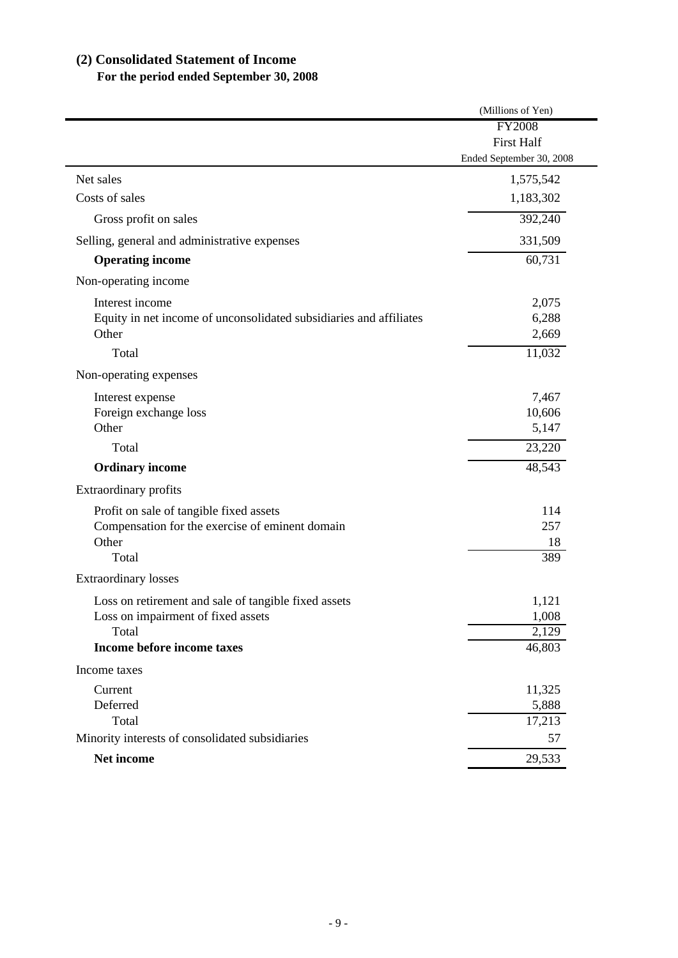# **(2) Consolidated Statement of Income**

# **For the period ended September 30, 2008**

| <b>FY2008</b><br><b>First Half</b><br>Ended September 30, 2008<br>1,575,542<br>1,183,302<br>392,240<br>Gross profit on sales<br>331,509<br>60,731<br><b>Operating income</b><br>Interest income<br>2,075<br>Equity in net income of unconsolidated subsidiaries and affiliates<br>6,288<br>Other<br>2,669<br>Total<br>11,032<br>7,467<br>Interest expense<br>10,606<br>Foreign exchange loss<br>5,147<br>Other<br>23,220<br>Total<br>48,543<br><b>Ordinary income</b><br>Profit on sale of tangible fixed assets<br>114<br>257<br>Compensation for the exercise of eminent domain<br>Other<br>18<br>Total<br>389<br>Loss on retirement and sale of tangible fixed assets<br>1,121<br>1,008<br>Loss on impairment of fixed assets<br>Total<br>2,129<br>Income before income taxes<br>46,803<br>Current<br>11,325<br>Deferred<br>5,888<br>Total<br>17,213<br>57<br>Net income<br>29,533 |                                                 | (Millions of Yen) |
|---------------------------------------------------------------------------------------------------------------------------------------------------------------------------------------------------------------------------------------------------------------------------------------------------------------------------------------------------------------------------------------------------------------------------------------------------------------------------------------------------------------------------------------------------------------------------------------------------------------------------------------------------------------------------------------------------------------------------------------------------------------------------------------------------------------------------------------------------------------------------------------|-------------------------------------------------|-------------------|
|                                                                                                                                                                                                                                                                                                                                                                                                                                                                                                                                                                                                                                                                                                                                                                                                                                                                                       |                                                 |                   |
|                                                                                                                                                                                                                                                                                                                                                                                                                                                                                                                                                                                                                                                                                                                                                                                                                                                                                       |                                                 |                   |
|                                                                                                                                                                                                                                                                                                                                                                                                                                                                                                                                                                                                                                                                                                                                                                                                                                                                                       |                                                 |                   |
|                                                                                                                                                                                                                                                                                                                                                                                                                                                                                                                                                                                                                                                                                                                                                                                                                                                                                       | Net sales                                       |                   |
|                                                                                                                                                                                                                                                                                                                                                                                                                                                                                                                                                                                                                                                                                                                                                                                                                                                                                       | Costs of sales                                  |                   |
|                                                                                                                                                                                                                                                                                                                                                                                                                                                                                                                                                                                                                                                                                                                                                                                                                                                                                       |                                                 |                   |
|                                                                                                                                                                                                                                                                                                                                                                                                                                                                                                                                                                                                                                                                                                                                                                                                                                                                                       | Selling, general and administrative expenses    |                   |
|                                                                                                                                                                                                                                                                                                                                                                                                                                                                                                                                                                                                                                                                                                                                                                                                                                                                                       |                                                 |                   |
|                                                                                                                                                                                                                                                                                                                                                                                                                                                                                                                                                                                                                                                                                                                                                                                                                                                                                       | Non-operating income                            |                   |
|                                                                                                                                                                                                                                                                                                                                                                                                                                                                                                                                                                                                                                                                                                                                                                                                                                                                                       |                                                 |                   |
|                                                                                                                                                                                                                                                                                                                                                                                                                                                                                                                                                                                                                                                                                                                                                                                                                                                                                       |                                                 |                   |
|                                                                                                                                                                                                                                                                                                                                                                                                                                                                                                                                                                                                                                                                                                                                                                                                                                                                                       |                                                 |                   |
|                                                                                                                                                                                                                                                                                                                                                                                                                                                                                                                                                                                                                                                                                                                                                                                                                                                                                       |                                                 |                   |
|                                                                                                                                                                                                                                                                                                                                                                                                                                                                                                                                                                                                                                                                                                                                                                                                                                                                                       | Non-operating expenses                          |                   |
|                                                                                                                                                                                                                                                                                                                                                                                                                                                                                                                                                                                                                                                                                                                                                                                                                                                                                       |                                                 |                   |
|                                                                                                                                                                                                                                                                                                                                                                                                                                                                                                                                                                                                                                                                                                                                                                                                                                                                                       |                                                 |                   |
|                                                                                                                                                                                                                                                                                                                                                                                                                                                                                                                                                                                                                                                                                                                                                                                                                                                                                       |                                                 |                   |
|                                                                                                                                                                                                                                                                                                                                                                                                                                                                                                                                                                                                                                                                                                                                                                                                                                                                                       |                                                 |                   |
|                                                                                                                                                                                                                                                                                                                                                                                                                                                                                                                                                                                                                                                                                                                                                                                                                                                                                       |                                                 |                   |
|                                                                                                                                                                                                                                                                                                                                                                                                                                                                                                                                                                                                                                                                                                                                                                                                                                                                                       | Extraordinary profits                           |                   |
|                                                                                                                                                                                                                                                                                                                                                                                                                                                                                                                                                                                                                                                                                                                                                                                                                                                                                       |                                                 |                   |
|                                                                                                                                                                                                                                                                                                                                                                                                                                                                                                                                                                                                                                                                                                                                                                                                                                                                                       |                                                 |                   |
|                                                                                                                                                                                                                                                                                                                                                                                                                                                                                                                                                                                                                                                                                                                                                                                                                                                                                       |                                                 |                   |
|                                                                                                                                                                                                                                                                                                                                                                                                                                                                                                                                                                                                                                                                                                                                                                                                                                                                                       |                                                 |                   |
|                                                                                                                                                                                                                                                                                                                                                                                                                                                                                                                                                                                                                                                                                                                                                                                                                                                                                       | <b>Extraordinary losses</b>                     |                   |
|                                                                                                                                                                                                                                                                                                                                                                                                                                                                                                                                                                                                                                                                                                                                                                                                                                                                                       |                                                 |                   |
|                                                                                                                                                                                                                                                                                                                                                                                                                                                                                                                                                                                                                                                                                                                                                                                                                                                                                       |                                                 |                   |
|                                                                                                                                                                                                                                                                                                                                                                                                                                                                                                                                                                                                                                                                                                                                                                                                                                                                                       |                                                 |                   |
|                                                                                                                                                                                                                                                                                                                                                                                                                                                                                                                                                                                                                                                                                                                                                                                                                                                                                       |                                                 |                   |
|                                                                                                                                                                                                                                                                                                                                                                                                                                                                                                                                                                                                                                                                                                                                                                                                                                                                                       | Income taxes                                    |                   |
|                                                                                                                                                                                                                                                                                                                                                                                                                                                                                                                                                                                                                                                                                                                                                                                                                                                                                       |                                                 |                   |
|                                                                                                                                                                                                                                                                                                                                                                                                                                                                                                                                                                                                                                                                                                                                                                                                                                                                                       |                                                 |                   |
|                                                                                                                                                                                                                                                                                                                                                                                                                                                                                                                                                                                                                                                                                                                                                                                                                                                                                       |                                                 |                   |
|                                                                                                                                                                                                                                                                                                                                                                                                                                                                                                                                                                                                                                                                                                                                                                                                                                                                                       | Minority interests of consolidated subsidiaries |                   |
|                                                                                                                                                                                                                                                                                                                                                                                                                                                                                                                                                                                                                                                                                                                                                                                                                                                                                       |                                                 |                   |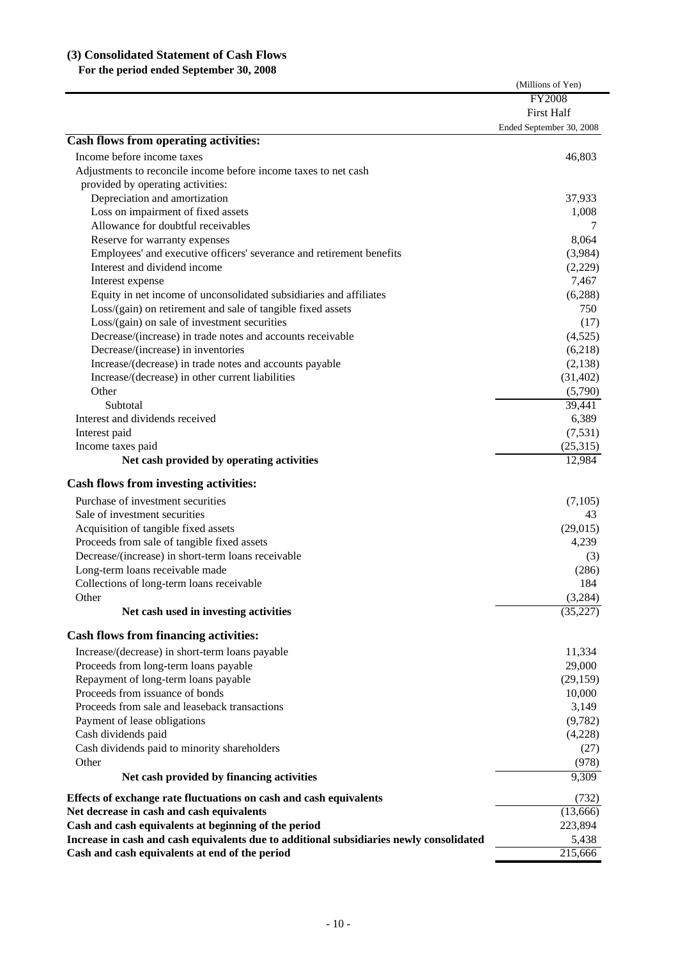## **(3) Consolidated Statement of Cash Flows**

 **For the period ended September 30, 2008**

|                                                                                         | (Millions of Yen)        |
|-----------------------------------------------------------------------------------------|--------------------------|
|                                                                                         | <b>FY2008</b>            |
|                                                                                         | <b>First Half</b>        |
|                                                                                         | Ended September 30, 2008 |
| Cash flows from operating activities:                                                   |                          |
| Income before income taxes                                                              | 46,803                   |
| Adjustments to reconcile income before income taxes to net cash                         |                          |
| provided by operating activities:                                                       |                          |
| Depreciation and amortization                                                           | 37,933                   |
| Loss on impairment of fixed assets                                                      | 1,008                    |
| Allowance for doubtful receivables                                                      | 7                        |
| Reserve for warranty expenses                                                           | 8,064                    |
| Employees' and executive officers' severance and retirement benefits                    | (3,984)                  |
| Interest and dividend income                                                            | (2,229)                  |
| Interest expense                                                                        | 7,467                    |
| Equity in net income of unconsolidated subsidiaries and affiliates                      | (6, 288)                 |
| Loss/(gain) on retirement and sale of tangible fixed assets                             | 750                      |
| Loss/(gain) on sale of investment securities                                            | (17)                     |
| Decrease/(increase) in trade notes and accounts receivable                              | (4,525)                  |
| Decrease/(increase) in inventories                                                      | (6,218)                  |
| Increase/(decrease) in trade notes and accounts payable                                 | (2, 138)                 |
| Increase/(decrease) in other current liabilities                                        | (31, 402)                |
| Other                                                                                   | (5,790)                  |
| Subtotal                                                                                | 39,441                   |
| Interest and dividends received                                                         | 6,389                    |
| Interest paid                                                                           | (7, 531)                 |
| Income taxes paid                                                                       | (25,315)                 |
| Net cash provided by operating activities                                               | 12,984                   |
| Cash flows from investing activities:                                                   |                          |
| Purchase of investment securities                                                       | (7,105)                  |
| Sale of investment securities                                                           | 43                       |
| Acquisition of tangible fixed assets                                                    | (29, 015)                |
| Proceeds from sale of tangible fixed assets                                             | 4,239                    |
| Decrease/(increase) in short-term loans receivable                                      | (3)                      |
| Long-term loans receivable made                                                         | (286)                    |
| Collections of long-term loans receivable                                               | 184                      |
| Other                                                                                   | (3,284)                  |
| Net cash used in investing activities                                                   | (35, 227)                |
| <b>Cash flows from financing activities:</b>                                            |                          |
| Increase/(decrease) in short-term loans payable                                         | 11,334                   |
| Proceeds from long-term loans payable                                                   | 29,000                   |
| Repayment of long-term loans payable                                                    | (29, 159)                |
| Proceeds from issuance of bonds                                                         | 10,000                   |
| Proceeds from sale and leaseback transactions                                           | 3,149                    |
| Payment of lease obligations                                                            | (9,782)                  |
| Cash dividends paid                                                                     | (4,228)                  |
| Cash dividends paid to minority shareholders                                            | (27)                     |
| Other                                                                                   | (978)                    |
| Net cash provided by financing activities                                               | 9,309                    |
| Effects of exchange rate fluctuations on cash and cash equivalents                      | (732)                    |
| Net decrease in cash and cash equivalents                                               | (13,666)                 |
| Cash and cash equivalents at beginning of the period                                    | 223,894                  |
| Increase in cash and cash equivalents due to additional subsidiaries newly consolidated | 5,438                    |
| Cash and cash equivalents at end of the period                                          | $\overline{215,}666$     |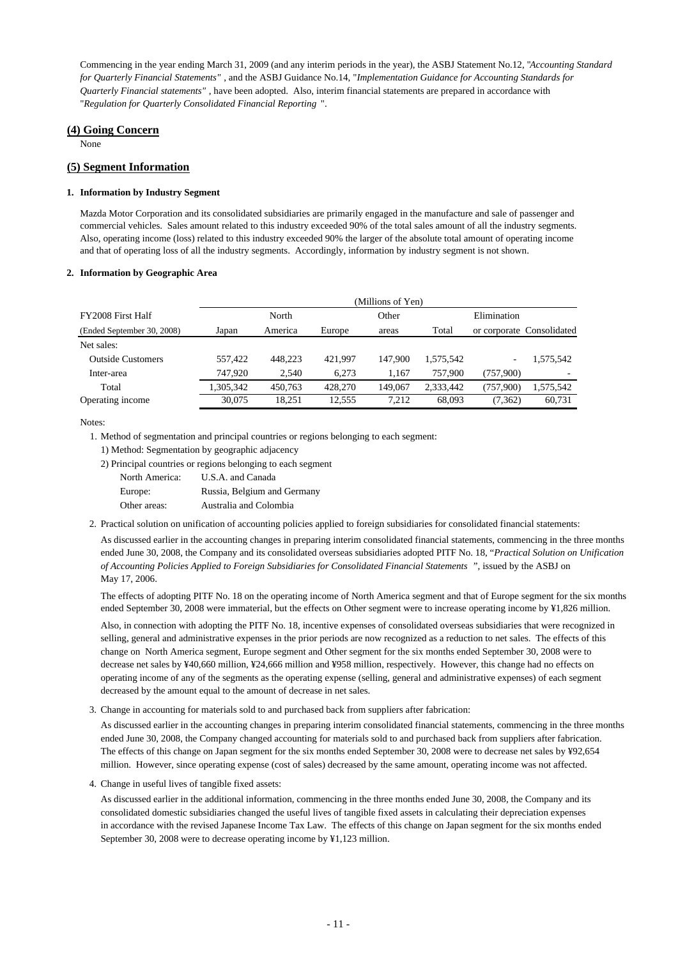Commencing in the year ending March 31, 2009 (and any interim periods in the year), the ASBJ Statement No.12, "*Accounting Standard for Quarterly Financial Statements"* , and the ASBJ Guidance No.14, "*Implementation Guidance for Accounting Standards for Quarterly Financial statements"* , have been adopted. Also, interim financial statements are prepared in accordance with "*Regulation for Quarterly Consolidated Financial Reporting* ".

### **(4) Going Concern**

None

### **(5) Segment Information**

#### **1. Information by Industry Segment**

Mazda Motor Corporation and its consolidated subsidiaries are primarily engaged in the manufacture and sale of passenger and commercial vehicles. Sales amount related to this industry exceeded 90% of the total sales amount of all the industry segments. Also, operating income (loss) related to this industry exceeded 90% the larger of the absolute total amount of operating income and that of operating loss of all the industry segments. Accordingly, information by industry segment is not shown.

#### **2. Information by Geographic Area**

|                            | (Millions of Yen) |         |         |         |           |             |                           |
|----------------------------|-------------------|---------|---------|---------|-----------|-------------|---------------------------|
| FY2008 First Half          |                   | North   |         | Other   |           | Elimination |                           |
| (Ended September 30, 2008) | Japan             | America | Europe  | areas   | Total     |             | or corporate Consolidated |
| Net sales:                 |                   |         |         |         |           |             |                           |
| <b>Outside Customers</b>   | 557.422           | 448.223 | 421.997 | 147,900 | 1.575.542 | ۰           | .575,542                  |
| Inter-area                 | 747.920           | 2.540   | 6.273   | 1.167   | 757,900   | (757,900)   | ۰                         |
| Total                      | 1,305,342         | 450,763 | 428,270 | 149,067 | 2,333,442 | (757,900)   | 1,575,542                 |
| Operating income           | 30,075            | 18.251  | 12,555  | 7,212   | 68,093    | (7,362)     | 60,731                    |

Notes:

1. Method of segmentation and principal countries or regions belonging to each segment:

- 1) Method: Segmentation by geographic adjacency
- 2) Principal countries or regions belonging to each segment

| North America: | U.S.A. and Canada           |
|----------------|-----------------------------|
| Europe:        | Russia, Belgium and Germany |
| Other areas:   | Australia and Colombia      |

2. Practical solution on unification of accounting policies applied to foreign subsidiaries for consolidated financial statements:

As discussed earlier in the accounting changes in preparing interim consolidated financial statements, commencing in the three months ended June 30, 2008, the Company and its consolidated overseas subsidiaries adopted PITF No. 18, "*Practical Solution on Unification of Accounting Policies Applied to Foreign Subsidiaries for Consolidated Financial Statements* ", issued by the ASBJ on May 17, 2006.

The effects of adopting PITF No. 18 on the operating income of North America segment and that of Europe segment for the six months ended September 30, 2008 were immaterial, but the effects on Other segment were to increase operating income by ¥1,826 million.

Also, in connection with adopting the PITF No. 18, incentive expenses of consolidated overseas subsidiaries that were recognized in selling, general and administrative expenses in the prior periods are now recognized as a reduction to net sales. The effects of this change on North America segment, Europe segment and Other segment for the six months ended September 30, 2008 were to decrease net sales by ¥40,660 million, ¥24,666 million and ¥958 million, respectively. However, this change had no effects on operating income of any of the segments as the operating expense (selling, general and administrative expenses) of each segment decreased by the amount equal to the amount of decrease in net sales.

3. Change in accounting for materials sold to and purchased back from suppliers after fabrication:

As discussed earlier in the accounting changes in preparing interim consolidated financial statements, commencing in the three months ended June 30, 2008, the Company changed accounting for materials sold to and purchased back from suppliers after fabrication. The effects of this change on Japan segment for the six months ended September 30, 2008 were to decrease net sales by ¥92,654 million. However, since operating expense (cost of sales) decreased by the same amount, operating income was not affected.

4. Change in useful lives of tangible fixed assets:

As discussed earlier in the additional information, commencing in the three months ended June 30, 2008, the Company and its consolidated domestic subsidiaries changed the useful lives of tangible fixed assets in calculating their depreciation expenses in accordance with the revised Japanese Income Tax Law. The effects of this change on Japan segment for the six months ended September 30, 2008 were to decrease operating income by ¥1,123 million.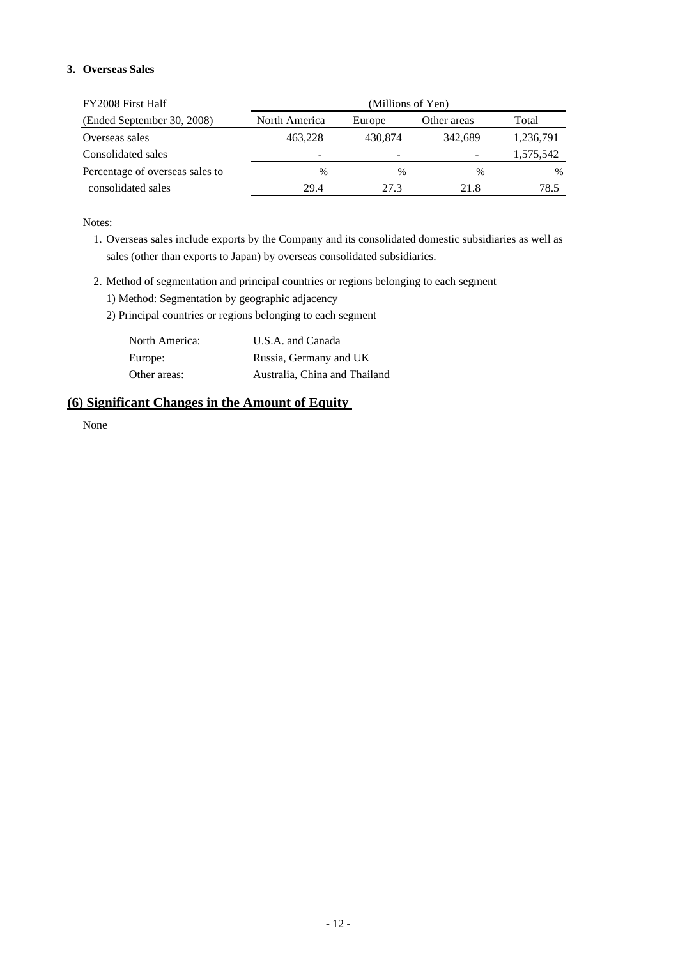## **3. Overseas Sales**

| FY2008 First Half               | (Millions of Yen) |                          |               |               |  |
|---------------------------------|-------------------|--------------------------|---------------|---------------|--|
| (Ended September 30, 2008)      | North America     | Europe                   | Other areas   | Total         |  |
| Overseas sales                  | 463,228           | 430,874                  | 342.689       | 1,236,791     |  |
| Consolidated sales              | -                 | $\overline{\phantom{0}}$ | -             | 1,575,542     |  |
| Percentage of overseas sales to | $\frac{0}{0}$     | $\frac{0}{0}$            | $\frac{0}{0}$ | $\frac{0}{0}$ |  |
| consolidated sales              | 29.4              | 27.3                     | 21.8          | 78.5          |  |

Notes:

1. Overseas sales include exports by the Company and its consolidated domestic subsidiaries as well as sales (other than exports to Japan) by overseas consolidated subsidiaries.

- 2. Method of segmentation and principal countries or regions belonging to each segment
	- 1) Method: Segmentation by geographic adjacency
	- 2) Principal countries or regions belonging to each segment

| North America: | U.S.A. and Canada             |
|----------------|-------------------------------|
| Europe:        | Russia, Germany and UK        |
| Other areas:   | Australia, China and Thailand |

## **(6) Significant Changes in the Amount of Equity**

None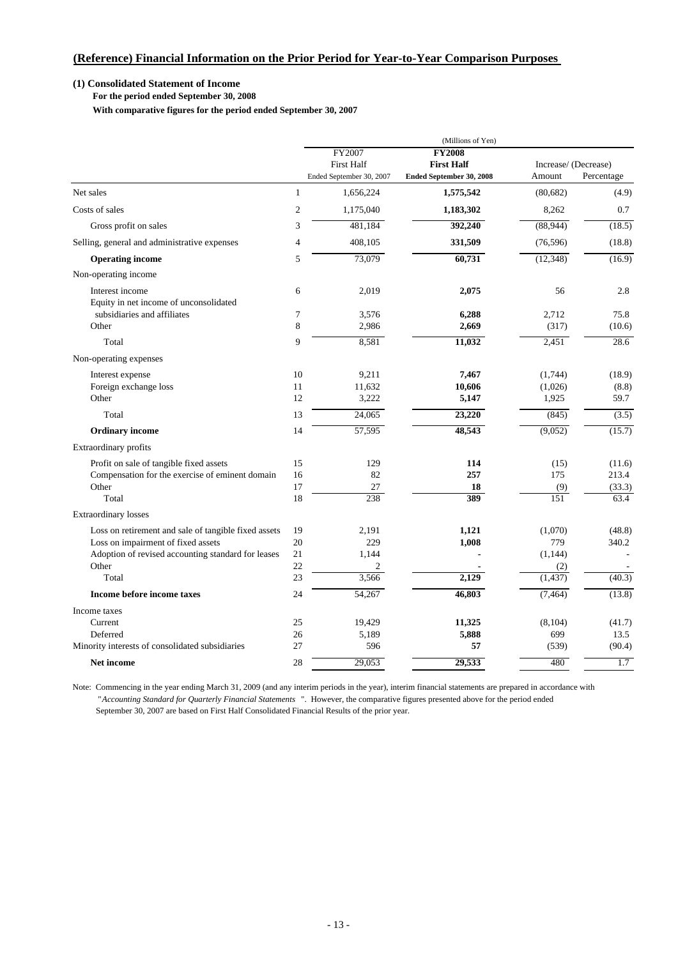## **(1) Consolidated Statement of Income**

 **For the period ended September 30, 2008**

 **With comparative figures for the period ended September 30, 2007**

|                                                           | (Millions of Yen) |                             |                                    |                      |            |
|-----------------------------------------------------------|-------------------|-----------------------------|------------------------------------|----------------------|------------|
|                                                           |                   | FY2007<br><b>First Half</b> | <b>FY2008</b><br><b>First Half</b> | Increase/ (Decrease) |            |
|                                                           |                   | Ended September 30, 2007    | Ended September 30, 2008           | Amount               | Percentage |
| Net sales                                                 | 1                 | 1,656,224                   | 1,575,542                          | (80, 682)            | (4.9)      |
| Costs of sales                                            | $\overline{2}$    | 1,175,040                   | 1,183,302                          | 8,262                | 0.7        |
| Gross profit on sales                                     | 3                 | 481,184                     | 392,240                            | (88,944)             | (18.5)     |
| Selling, general and administrative expenses              | $\overline{4}$    | 408,105                     | 331,509                            | (76, 596)            | (18.8)     |
| <b>Operating income</b>                                   | 5                 | 73,079                      | 60,731                             | (12, 348)            | (16.9)     |
| Non-operating income                                      |                   |                             |                                    |                      |            |
| Interest income<br>Equity in net income of unconsolidated | 6                 | 2,019                       | 2,075                              | 56                   | 2.8        |
| subsidiaries and affiliates                               | 7                 | 3,576                       | 6,288                              | 2,712                | 75.8       |
| Other                                                     | 8                 | 2,986                       | 2,669                              | (317)                | (10.6)     |
| Total                                                     | 9                 | 8,581                       | 11,032                             | 2,451                | 28.6       |
| Non-operating expenses                                    |                   |                             |                                    |                      |            |
| Interest expense                                          | 10                | 9,211                       | 7,467                              | (1,744)              | (18.9)     |
| Foreign exchange loss                                     | 11                | 11,632                      | 10,606                             | (1,026)              | (8.8)      |
| Other                                                     | 12                | 3,222                       | 5,147                              | 1,925                | 59.7       |
| Total                                                     | 13                | 24,065                      | 23,220                             | (845)                | (3.5)      |
| <b>Ordinary</b> income                                    | 14                | 57,595                      | 48,543                             | (9,052)              | (15.7)     |
| Extraordinary profits                                     |                   |                             |                                    |                      |            |
| Profit on sale of tangible fixed assets                   | 15                | 129                         | 114                                | (15)                 | (11.6)     |
| Compensation for the exercise of eminent domain           | 16                | 82                          | 257                                | 175                  | 213.4      |
| Other                                                     | 17                | 27                          | 18                                 | (9)                  | (33.3)     |
| Total                                                     | 18                | 238                         | 389                                | 151                  | 63.4       |
| <b>Extraordinary losses</b>                               |                   |                             |                                    |                      |            |
| Loss on retirement and sale of tangible fixed assets      | 19                | 2,191                       | 1,121                              | (1,070)              | (48.8)     |
| Loss on impairment of fixed assets                        | 20                | 229                         | 1,008                              | 779                  | 340.2      |
| Adoption of revised accounting standard for leases        | 21                | 1.144                       |                                    | (1, 144)             |            |
| Other                                                     | 22                | 2                           |                                    | (2)                  |            |
| Total                                                     | 23                | 3,566                       | 2,129                              | (1, 437)             | (40.3)     |
| Income before income taxes                                | 24                | 54,267                      | 46,803                             | (7, 464)             | (13.8)     |
| Income taxes                                              |                   |                             |                                    |                      |            |
| Current                                                   | 25                | 19,429                      | 11,325                             | (8,104)              | (41.7)     |
| Deferred                                                  | 26                | 5,189                       | 5,888                              | 699                  | 13.5       |
| Minority interests of consolidated subsidiaries           | 27                | 596                         | 57                                 | (539)                | (90.4)     |
| <b>Net income</b>                                         | 28                | 29,053                      | 29,533                             | 480                  | 1.7        |

Note: Commencing in the year ending March 31, 2009 (and any interim periods in the year), interim financial statements are prepared in accordance with "*Accounting Standard for Quarterly Financial Statements* ". However, the comparative figures presented above for the period ended September 30, 2007 are based on First Half Consolidated Financial Results of the prior year.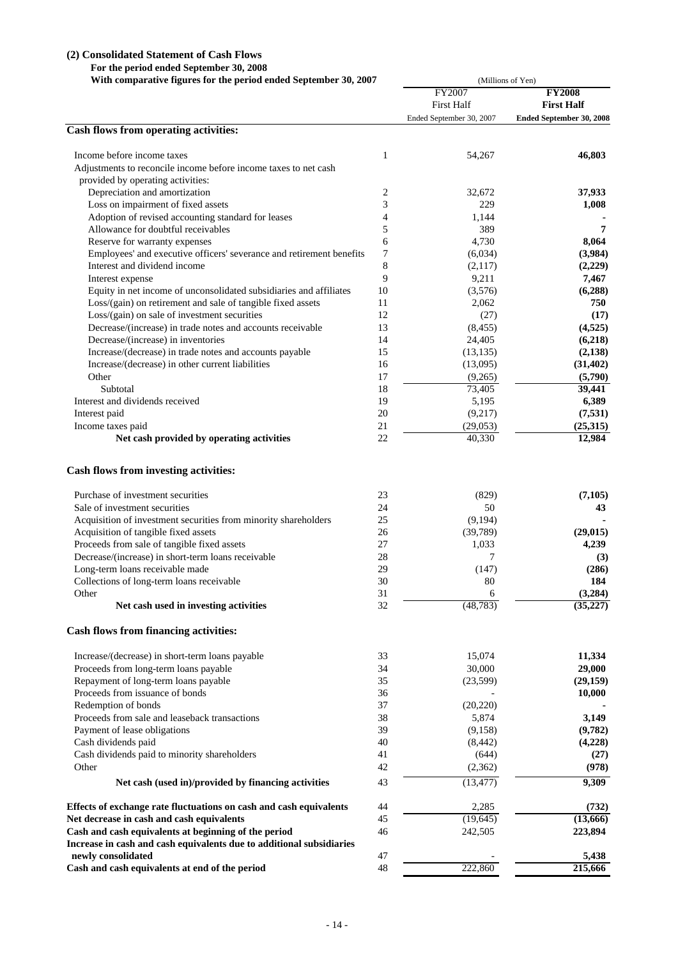### **(2) Consolidated Statement of Cash Flows**

 **For the period ended September 30, 2008**

 **With comparative figures for the period ended September 30, 2007**

|                                                                      | With comparative figures for the period ended September 30, 2007 |                          | (Millions of Yen)               |  |  |  |
|----------------------------------------------------------------------|------------------------------------------------------------------|--------------------------|---------------------------------|--|--|--|
|                                                                      |                                                                  | <b>FY2007</b>            | <b>FY2008</b>                   |  |  |  |
|                                                                      |                                                                  | <b>First Half</b>        | <b>First Half</b>               |  |  |  |
|                                                                      |                                                                  | Ended September 30, 2007 | <b>Ended September 30, 2008</b> |  |  |  |
| <b>Cash flows from operating activities:</b>                         |                                                                  |                          |                                 |  |  |  |
| Income before income taxes                                           | 1                                                                | 54,267                   | 46,803                          |  |  |  |
| Adjustments to reconcile income before income taxes to net cash      |                                                                  |                          |                                 |  |  |  |
| provided by operating activities:                                    |                                                                  |                          |                                 |  |  |  |
| Depreciation and amortization                                        | 2                                                                | 32,672                   | 37,933                          |  |  |  |
| Loss on impairment of fixed assets                                   | 3                                                                | 229                      | 1,008                           |  |  |  |
| Adoption of revised accounting standard for leases                   | $\overline{4}$                                                   | 1,144                    |                                 |  |  |  |
| Allowance for doubtful receivables                                   | 5                                                                | 389                      | 7                               |  |  |  |
| Reserve for warranty expenses                                        | 6                                                                | 4,730                    | 8,064                           |  |  |  |
| Employees' and executive officers' severance and retirement benefits | 7                                                                | (6,034)                  | (3,984)                         |  |  |  |
| Interest and dividend income                                         | $\,$ 8 $\,$                                                      | (2,117)                  | (2,229)                         |  |  |  |
| Interest expense                                                     | 9                                                                | 9,211                    | 7,467                           |  |  |  |
| Equity in net income of unconsolidated subsidiaries and affiliates   | 10                                                               | (3,576)                  | (6,288)                         |  |  |  |
| Loss/(gain) on retirement and sale of tangible fixed assets          | 11                                                               | 2,062                    | 750                             |  |  |  |
| Loss/(gain) on sale of investment securities                         | 12                                                               | (27)                     | (17)                            |  |  |  |
| Decrease/(increase) in trade notes and accounts receivable           | 13                                                               | (8, 455)                 | (4,525)                         |  |  |  |
| Decrease/(increase) in inventories                                   | 14                                                               | 24,405                   | (6,218)                         |  |  |  |
| Increase/(decrease) in trade notes and accounts payable              | 15                                                               | (13, 135)                | (2, 138)                        |  |  |  |
| Increase/(decrease) in other current liabilities                     | 16                                                               | (13,095)                 | (31, 402)                       |  |  |  |
| Other                                                                | 17                                                               | (9,265)                  | (5,790)                         |  |  |  |
| Subtotal                                                             | $18\,$                                                           | 73,405                   | 39,441                          |  |  |  |
| Interest and dividends received                                      | 19                                                               | 5,195                    | 6,389                           |  |  |  |
| Interest paid                                                        | 20                                                               | (9,217)                  | (7, 531)                        |  |  |  |
| Income taxes paid                                                    | 21                                                               | (29,053)                 | (25,315)                        |  |  |  |
| Net cash provided by operating activities                            | 22                                                               | 40,330                   | 12,984                          |  |  |  |
| Cash flows from investing activities:                                |                                                                  |                          |                                 |  |  |  |
| Purchase of investment securities                                    | 23                                                               | (829)                    | (7,105)                         |  |  |  |
| Sale of investment securities                                        | 24                                                               | 50                       | 43                              |  |  |  |
| Acquisition of investment securities from minority shareholders      | 25                                                               | (9,194)                  |                                 |  |  |  |
| Acquisition of tangible fixed assets                                 | 26                                                               | (39,789)                 | (29, 015)                       |  |  |  |
| Proceeds from sale of tangible fixed assets                          | 27                                                               | 1,033                    | 4,239                           |  |  |  |
| Decrease/(increase) in short-term loans receivable                   | 28                                                               | 7                        | (3)                             |  |  |  |
| Long-term loans receivable made                                      | 29                                                               | (147)                    | (286)                           |  |  |  |
| Collections of long-term loans receivable                            | 30                                                               | 80                       | 184                             |  |  |  |
| Other                                                                | 31                                                               | 6                        | (3,284)                         |  |  |  |
| Net cash used in investing activities                                | 32                                                               | (48, 783)                | (35, 227)                       |  |  |  |
| <b>Cash flows from financing activities:</b>                         |                                                                  |                          |                                 |  |  |  |
| Increase/(decrease) in short-term loans payable                      | 33                                                               | 15,074                   | 11,334                          |  |  |  |
| Proceeds from long-term loans payable                                | 34                                                               | 30,000                   | 29,000                          |  |  |  |
| Repayment of long-term loans payable                                 | 35                                                               | (23,599)                 | (29, 159)                       |  |  |  |
| Proceeds from issuance of bonds                                      | 36                                                               |                          | 10,000                          |  |  |  |
| Redemption of bonds                                                  | 37                                                               | (20, 220)                |                                 |  |  |  |
| Proceeds from sale and leaseback transactions                        | 38                                                               | 5,874                    | 3,149                           |  |  |  |
| Payment of lease obligations                                         | 39                                                               | (9, 158)                 | (9,782)                         |  |  |  |
| Cash dividends paid                                                  | 40                                                               | (8, 442)                 | (4,228)                         |  |  |  |
| Cash dividends paid to minority shareholders                         | 41                                                               | (644)                    | (27)                            |  |  |  |
| Other                                                                | 42                                                               | (2,362)                  | (978)                           |  |  |  |
| Net cash (used in)/provided by financing activities                  | 43                                                               | (13, 477)                | 9,309                           |  |  |  |
| Effects of exchange rate fluctuations on cash and cash equivalents   | 44                                                               | 2,285                    | (732)                           |  |  |  |
| Net decrease in cash and cash equivalents                            | 45                                                               | (19, 645)                | (13,666)                        |  |  |  |
| Cash and cash equivalents at beginning of the period                 | 46                                                               | 242,505                  | 223,894                         |  |  |  |
| Increase in cash and cash equivalents due to additional subsidiaries |                                                                  |                          |                                 |  |  |  |
| newly consolidated                                                   | 47                                                               |                          | 5,438                           |  |  |  |
| Cash and cash equivalents at end of the period                       | 48                                                               | 222,860                  | 215,666                         |  |  |  |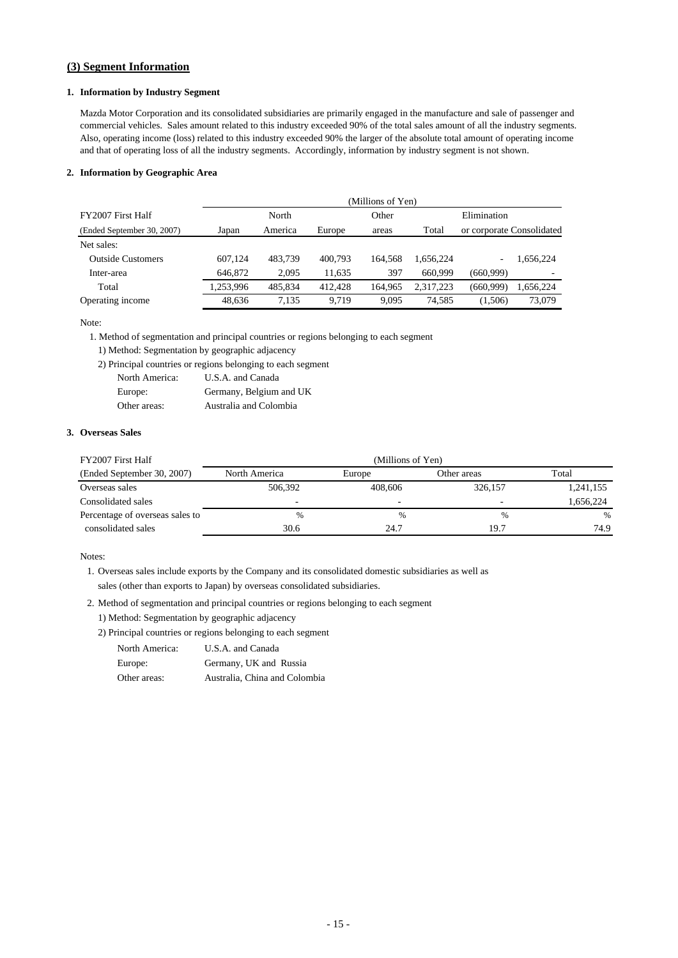### **(3) Segment Information**

### **1. Information by Industry Segment**

Mazda Motor Corporation and its consolidated subsidiaries are primarily engaged in the manufacture and sale of passenger and commercial vehicles. Sales amount related to this industry exceeded 90% of the total sales amount of all the industry segments. Also, operating income (loss) related to this industry exceeded 90% the larger of the absolute total amount of operating income and that of operating loss of all the industry segments. Accordingly, information by industry segment is not shown.

#### **2. Information by Geographic Area**

|                            |           | (Millions of Yen) |         |         |           |                           |           |
|----------------------------|-----------|-------------------|---------|---------|-----------|---------------------------|-----------|
| FY2007 First Half          | North     |                   |         | Other   |           | Elimination               |           |
| (Ended September 30, 2007) | Japan     | America           | Europe  | areas   | Total     | or corporate Consolidated |           |
| Net sales:                 |           |                   |         |         |           |                           |           |
| <b>Outside Customers</b>   | 607.124   | 483.739           | 400.793 | 164.568 | 1.656.224 | $\overline{\phantom{0}}$  | 1.656.224 |
| Inter-area                 | 646,872   | 2,095             | 11.635  | 397     | 660,999   | (660.999)                 |           |
| Total                      | 1,253,996 | 485.834           | 412.428 | 164.965 | 2.317.223 | (660.999)                 | 1,656,224 |
| Operating income           | 48,636    | 7.135             | 9.719   | 9.095   | 74.585    | (1,506)                   | 73,079    |

Note:

1. Method of segmentation and principal countries or regions belonging to each segment

- 1) Method: Segmentation by geographic adjacency
- 2) Principal countries or regions belonging to each segment

| North America: | U.S.A. and Canada       |
|----------------|-------------------------|
| Europe:        | Germany, Belgium and UK |
| Other areas:   | Australia and Colombia  |

### **3. Overseas Sales**

| FY2007 First Half               | (Millions of Yen)        |         |             |           |  |  |
|---------------------------------|--------------------------|---------|-------------|-----------|--|--|
| (Ended September 30, 2007)      | North America            | Europe  | Other areas | Total     |  |  |
| Overseas sales                  | 506.392                  | 408,606 | 326,157     | 1,241,155 |  |  |
| Consolidated sales              | $\overline{\phantom{0}}$ | -       |             | 1,656,224 |  |  |
| Percentage of overseas sales to | $\frac{0}{0}$            | $\%$    | %           | $\%$      |  |  |
| consolidated sales              | 30.6                     | 24.7    | 19.7        | 74.9      |  |  |

Notes:

1. Overseas sales include exports by the Company and its consolidated domestic subsidiaries as well as sales (other than exports to Japan) by overseas consolidated subsidiaries.

- 2. Method of segmentation and principal countries or regions belonging to each segment
	- 1) Method: Segmentation by geographic adjacency
	- 2) Principal countries or regions belonging to each segment

| North America: | U.S.A. and Canada             |
|----------------|-------------------------------|
| Europe:        | Germany, UK and Russia        |
| Other areas:   | Australia, China and Colombia |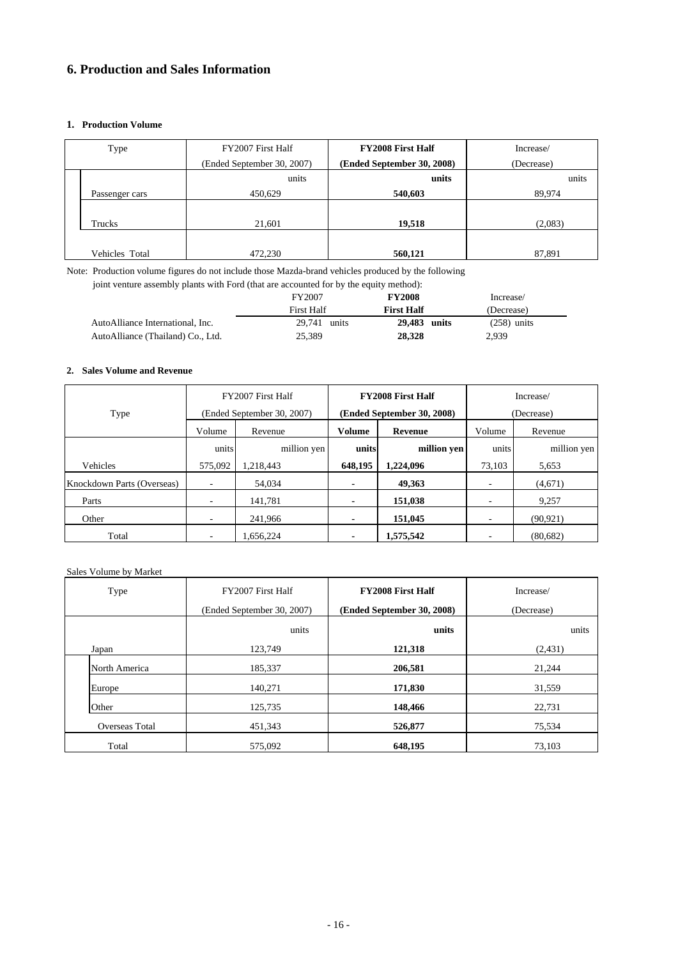## **6. Production and Sales Information**

### **1. Production Volume**

| Type           | FY2007 First Half          | <b>FY2008 First Half</b>   | Increase/  |  |  |
|----------------|----------------------------|----------------------------|------------|--|--|
|                | (Ended September 30, 2007) | (Ended September 30, 2008) | (Decrease) |  |  |
|                | units                      | units                      | units      |  |  |
| Passenger cars | 450,629                    | 540,603                    | 89,974     |  |  |
|                |                            |                            |            |  |  |
| Trucks         | 21,601                     | 19,518                     | (2,083)    |  |  |
|                |                            |                            |            |  |  |
| Vehicles Total | 472,230                    | 560,121                    | 87,891     |  |  |

Note: Production volume figures do not include those Mazda-brand vehicles produced by the following

joint venture assembly plants with Ford (that are accounted for by the equity method):

|                                   | <b>FY2007</b>     | <b>FY2008</b>     | Increase/     |  |
|-----------------------------------|-------------------|-------------------|---------------|--|
|                                   | <b>First Half</b> | <b>First Half</b> | (Decrease)    |  |
| AutoAlliance International, Inc.  | 29.741 units      | 29,483 units      | $(258)$ units |  |
| AutoAlliance (Thailand) Co., Ltd. | 25.389            | 28,328            | 2.939         |  |

### **2. Sales Volume and Revenue**

|                            |         | FY2007 First Half          |                | <b>FY2008 First Half</b>   | Increase/                |             |  |  |
|----------------------------|---------|----------------------------|----------------|----------------------------|--------------------------|-------------|--|--|
| Type                       |         | (Ended September 30, 2007) |                | (Ended September 30, 2008) | (Decrease)               |             |  |  |
|                            | Volume  | Revenue                    | Volume         | <b>Revenue</b>             | Volume                   | Revenue     |  |  |
|                            | units   | million yen                | units          | million yen                | units                    | million yen |  |  |
| Vehicles                   | 575,092 | 1,218,443                  | 648,195        | 1,224,096                  | 73.103                   | 5,653       |  |  |
| Knockdown Parts (Overseas) |         | 54,034                     | ٠              | 49.363                     |                          | (4,671)     |  |  |
| Parts                      |         | 141.781                    | $\blacksquare$ | 151,038                    | -                        | 9,257       |  |  |
| Other                      | ٠       | 241,966                    | $\blacksquare$ | 151,045                    | $\overline{\phantom{a}}$ | (90, 921)   |  |  |
| Total                      |         | 1.656.224                  | ٠              | 1,575,542                  |                          | (80, 682)   |  |  |

### Sales Volume by Market

| Type           | FY2007 First Half          | <b>FY2008 First Half</b>   | Increase/  |  |  |
|----------------|----------------------------|----------------------------|------------|--|--|
|                | (Ended September 30, 2007) | (Ended September 30, 2008) | (Decrease) |  |  |
|                | units                      | units                      | units      |  |  |
| Japan          | 123,749                    | 121,318                    | (2,431)    |  |  |
| North America  | 185,337                    | 206,581                    | 21,244     |  |  |
| Europe         | 140,271                    | 171,830                    | 31,559     |  |  |
| Other          | 125,735                    | 148,466                    | 22,731     |  |  |
| Overseas Total | 451,343                    | 526,877                    | 75,534     |  |  |
| Total          | 575,092                    | 648,195                    | 73,103     |  |  |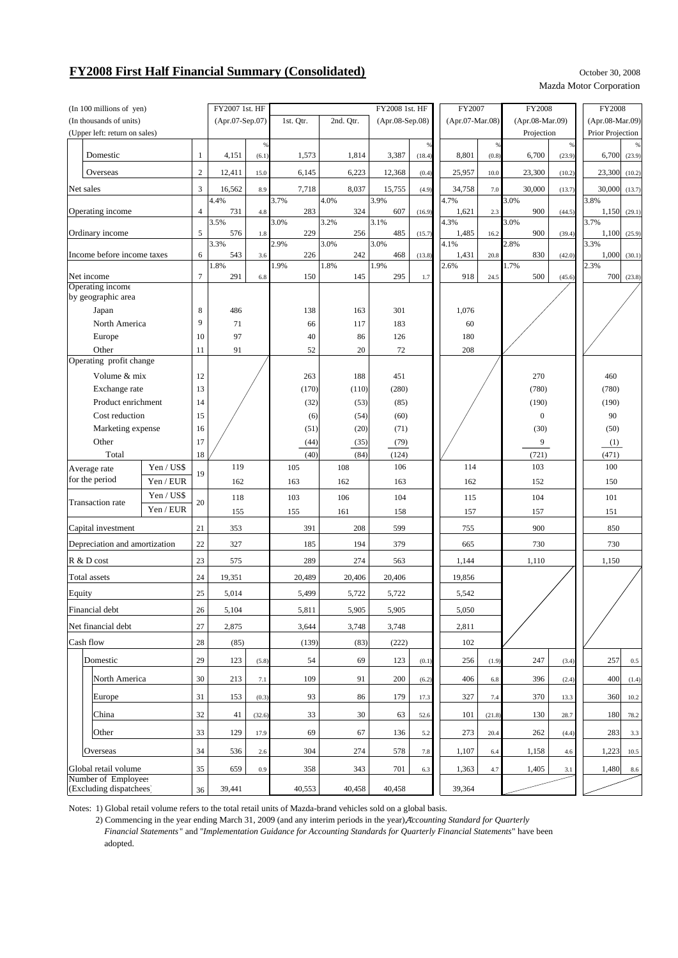# **FY2008 First Half Financial Summary (Consolidated)** October 30, 2008

Mazda Motor Corporation

| (In 100 millions of yen)                       |                               |                | FY2007 1st. HF  |        |              |                 | FY2008 1st. HF |                   | FY2007        |                  | <b>FY2008</b> |                 | FY2008           |           |  |  |  |  |       |  |       |  |
|------------------------------------------------|-------------------------------|----------------|-----------------|--------|--------------|-----------------|----------------|-------------------|---------------|------------------|---------------|-----------------|------------------|-----------|--|--|--|--|-------|--|-------|--|
| (In thousands of units)                        |                               |                | (Apr.07-Sep.07) |        | 1st. Qtr.    | (Apr.08-Sep.08) |                | $(Apr.07-Mar.08)$ |               | (Apr.08-Mar.09)  |               | (Apr.08-Mar.09) |                  |           |  |  |  |  |       |  |       |  |
|                                                | (Upper left: return on sales) |                |                 |        |              |                 |                |                   |               |                  | Projection    |                 | Prior Projection |           |  |  |  |  |       |  |       |  |
|                                                |                               |                |                 | %      |              |                 |                | $\frac{9}{6}$     |               | $\%$             |               | $^{96}$         |                  | $\%$      |  |  |  |  |       |  |       |  |
| Domestic                                       |                               | $\mathbf{1}$   | 4,151           | (6.1)  | 1,573        | 1,814           | 3,387          | (18.4)            | 8,801         | (0.8)            | 6,700         | (23.9)          | 6,700            | (23.9)    |  |  |  |  |       |  |       |  |
| Overseas                                       |                               | $\overline{c}$ | 12,411          | 15.0   | 6,145        | 6,223           | 12,368         | (0.4)             | 25,957        | 10.0             | 23,300        | (10.2)          | 23,300           | (10.2)    |  |  |  |  |       |  |       |  |
| Net sales                                      |                               | 3              | 16,562          | 8.9    | 7,718        | 8,037           | 15,755         | (4.9)             | 34,758        | 7.0              | 30,000        | (13.7)          | 30,000           | (13.7)    |  |  |  |  |       |  |       |  |
| Operating income                               |                               | $\overline{4}$ | 4.4%<br>731     | 4.8    | 3.7%<br>283  | 4.0%<br>324     | 3.9%<br>607    | (16.9)            | 4.7%<br>1,621 | 2.3              | 3.0%<br>900   | (44.5)          | 3.8%<br>1,150    | (29.1)    |  |  |  |  |       |  |       |  |
| Ordinary income                                |                               | 5              | 3.5%<br>576     | 1.8    | 3.0%<br>229  | 3.2%<br>256     | 3.1%<br>485    | (15.7)            | 4.3%<br>1,485 | 16.2             | 3.0%<br>900   | (39.4)          | 3.7%<br>1,100    | (25.9)    |  |  |  |  |       |  |       |  |
| Income before income taxes                     |                               | 6              | 3.3%<br>543     | 3.6    | 2.9%<br>226  | 3.0%<br>242     | 3.0%<br>468    | (13.8)            | 4.1%<br>1,431 | 20.8             | 2.8%<br>830   | (42.0)          | 3.3%<br>1,000    | (30.1)    |  |  |  |  |       |  |       |  |
|                                                |                               |                | 1.8%            |        | 1.9%         | 1.8%            | 1.9%           |                   | 2.6%          |                  | 1.7%          |                 | 2.3%             |           |  |  |  |  |       |  |       |  |
| Net income<br>Operating income                 |                               | $\tau$         | 291             | 6.8    | 150          | 145             | 295            | 1.7               | 918           | 24.5             | 500           | (45.6)          | 700              | (23.8)    |  |  |  |  |       |  |       |  |
| by geographic area                             |                               |                |                 |        |              |                 |                |                   |               |                  |               |                 |                  |           |  |  |  |  |       |  |       |  |
| Japan                                          |                               | 8              | 486             |        | 138          | 163             | 301            |                   | 1,076         |                  |               |                 |                  |           |  |  |  |  |       |  |       |  |
| North America                                  |                               | 9              | 71              |        | 66           | 117             | 183            |                   | 60            |                  |               |                 |                  |           |  |  |  |  |       |  |       |  |
| Europe                                         |                               | 10             | 97              |        | 40           | 86              | 126            |                   | 180           |                  |               |                 |                  |           |  |  |  |  |       |  |       |  |
| Other                                          |                               | 11             | 91              |        | 52           | 20              | 72             |                   | 208           |                  |               |                 |                  |           |  |  |  |  |       |  |       |  |
| Operating profit change                        |                               |                |                 |        |              |                 |                |                   |               |                  |               |                 |                  |           |  |  |  |  |       |  |       |  |
| Volume & mix                                   |                               | 12             |                 |        | 263          | 188             | 451            |                   |               |                  | 270           |                 | 460              |           |  |  |  |  |       |  |       |  |
| Exchange rate                                  |                               | 13             |                 |        | (170)        | (110)           | (280)<br>(85)  |                   |               |                  | (780)         |                 | (780)            |           |  |  |  |  |       |  |       |  |
| Product enrichment                             |                               | 14             |                 |        | (32)         | (53)            |                |                   |               |                  | (190)         |                 | (190)            |           |  |  |  |  |       |  |       |  |
| Cost reduction                                 |                               | 15<br>16       |                 |        | (6)<br>(51)  | (54)            | (60)<br>(71)   |                   |               | $\boldsymbol{0}$ |               | 90              |                  |           |  |  |  |  |       |  |       |  |
| Marketing expense                              |                               | 17             |                 |        |              | (20)            | (79)           |                   |               |                  | (30)<br>9     |                 | (50)             |           |  |  |  |  |       |  |       |  |
| Other<br>Total                                 |                               | 18             |                 |        | (44)<br>(40) | (35)<br>(84)    | (124)          |                   |               |                  | (721)         |                 | (1)<br>(471)     |           |  |  |  |  |       |  |       |  |
| Average rate                                   | Yen / US\$                    |                | 119             |        | 105          | 108             | 106            |                   | 114           |                  | 103           |                 | 100              |           |  |  |  |  |       |  |       |  |
| for the period                                 | Yen / EUR                     | 19             | 162             |        | 163          | 162             |                | 163               |               |                  | 152           |                 | 150              |           |  |  |  |  |       |  |       |  |
|                                                | Yen / US\$                    |                | 118             |        | 103          | 106             |                | 104               |               |                  | 104           |                 | 101              |           |  |  |  |  |       |  |       |  |
| <b>Transaction</b> rate                        | Yen / EUR                     | 20             | 155             |        | 155          | 161             | 158            |                   | 115<br>157    |                  | 157           |                 | 151              |           |  |  |  |  |       |  |       |  |
| Capital investment                             |                               | 21             | 353             |        | 391          | 208             | 599            |                   | 755           |                  | 900           |                 | 850              |           |  |  |  |  |       |  |       |  |
| Depreciation and amortization                  |                               | 22             | 327             |        | 185          | 194             | 379            |                   | 665           |                  | 730           |                 | 730              |           |  |  |  |  |       |  |       |  |
| R & D cost                                     |                               | 23             | 575             |        | 289          | 274             | 563            |                   |               |                  |               |                 | 1,144            |           |  |  |  |  | 1,110 |  | 1,150 |  |
| Total assets                                   | 24<br>19,351                  |                |                 | 20,489 | 20,406       | 20,406          |                | 19,856            |               |                  |               |                 |                  |           |  |  |  |  |       |  |       |  |
| Equity                                         | 25                            |                | 5,014           |        | 5,499        | 5,722           | 5,722          |                   | 5,542         |                  |               |                 |                  |           |  |  |  |  |       |  |       |  |
| Financial debt                                 |                               | $26\,$         | 5,104           |        | 5,811        | 5,905           | 5,905          |                   | 5,050         |                  |               |                 |                  |           |  |  |  |  |       |  |       |  |
| Net financial debt                             |                               | 27             | 2,875           |        | 3,644        | 3,748           | 3,748          |                   | 2,811         |                  |               |                 |                  |           |  |  |  |  |       |  |       |  |
| Cash flow                                      |                               | 28             | (85)            |        | (139)        | (83)            | (222)          |                   | 102           |                  |               |                 |                  |           |  |  |  |  |       |  |       |  |
| Domestic                                       |                               | 29             | 123             | (5.8)  | 54           | 69              | 123            | (0.1)             | 256           | (1.9)            | 247           | (3.4)           | 257              | $0.5\,$   |  |  |  |  |       |  |       |  |
| North America                                  |                               | 30             | 213             | 7.1    | 109          | 91              | 200            | (6.2)             | 406           | 6.8              | 396           | (2.4)           | 400              | (1.4)     |  |  |  |  |       |  |       |  |
| Europe                                         |                               | 31             | 153             | (0.3)  | 93           | 86              | 179            | 17.3              | 327           | 7.4              | 370           | 13.3            | 360              | 10.2      |  |  |  |  |       |  |       |  |
| China                                          |                               | 32             | 41              | (32.6) | 33           | 30              | 63             | 52.6              | 101           | (21.8)           | 130           | 28.7            | 180              | 78.2      |  |  |  |  |       |  |       |  |
| Other                                          |                               | 33             | 129             | 17.9   | 69           | 67              | 136            | 5.2               | 273           | 20.4             | 262           | (4.4)           | 283              | 3.3       |  |  |  |  |       |  |       |  |
| Overseas                                       |                               | 34             | 536             | 2.6    | 304          | 274             | 578            | 7.8               | 1,107         | 6.4              | 1,158         | 4.6             | 1,223            | 10.5      |  |  |  |  |       |  |       |  |
| Global retail volume                           |                               | 35             | 659             | 0.9    | 358          | 343             | 701            | 6.3               | 1,363         | 4.7              | 1,405         | 3.1             |                  | 1,480 8.6 |  |  |  |  |       |  |       |  |
| Number of Employees<br>(Excluding dispatchees) |                               | 36             | 39,441          |        | 40,553       | 40,458          | 40,458         |                   | 39,364        |                  |               |                 |                  |           |  |  |  |  |       |  |       |  |

Notes: 1) Global retail volume refers to the total retail units of Mazda-brand vehicles sold on a global basis.

2) Commencing in the year ending March 31, 2009 (and any interim periods in the year), "*Accounting Standard for Quarterly*

 *Financial Statements* " and "*Implementation Guidance for Accounting Standards for Quarterly Financial Statements*" have been adopted.